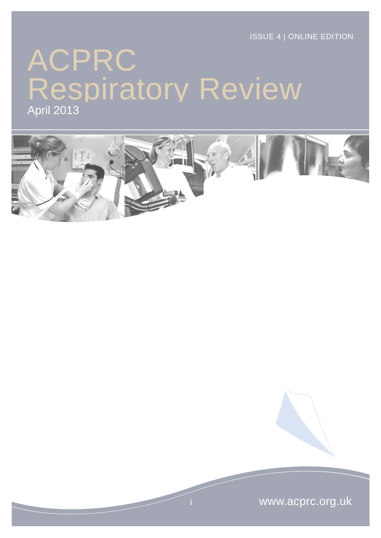ISSUE 4 | ONLINE EDITION

# ACPRC April 2013 Respiratory Review



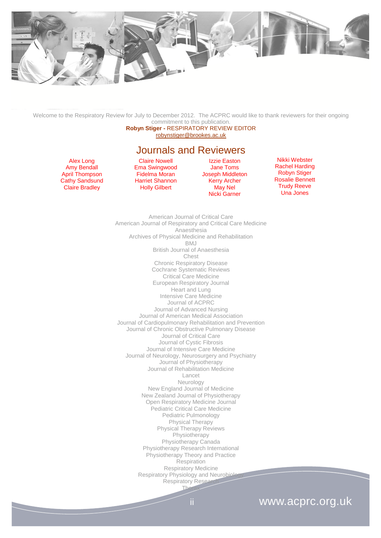

Welcome to the Respiratory Review for July to December 2012. The ACPRC would like to thank reviewers for their ongoing commitment to this publication.

**Robyn Stiger -** RESPIRATORY REVIEW EDITOR [robynstiger@brookes.ac.uk](mailto:robynstiger@brookes.ac.uk)

Journals and Reviewers

Alex Long Amy Bendall April Thompson Cathy Sandsund Claire Bradley

Claire Nowell Ema Swingwood Fidelma Moran Harriet Shannon Holly Gilbert

Izzie Easton Jane Toms Joseph Middleton Kerry Archer May Nel Nicki Garner

Nikki Webster Rachel Harding Robyn Stiger Rosalie Bennett Trudy Reeve Una Jones

American Journal of Critical Care American Journal of Respiratory and Critical Care Medicine Anaesthesia Archives of Physical Medicine and Rehabilitation BMJ British Journal of Anaesthesia Chest Chronic Respiratory Disease Cochrane Systematic Reviews Critical Care Medicine European Respiratory Journal Heart and Lung Intensive Care Medicine Journal of ACPRC Journal of Advanced Nursing Journal of American Medical Association Journal of Cardiopulmonary Rehabilitation and Prevention Journal of Chronic Obstructive Pulmonary Disease Journal of Critical Care Journal of Cystic Fibrosis Journal of Intensive Care Medicine Journal of Neurology, Neurosurgery and Psychiatry Journal of Physiotherapy Journal of Rehabilitation Medicine Lancet Neurology New England Journal of Medicine New Zealand Journal of Physiotherapy Open Respiratory Medicine Journal Pediatric Critical Care Medicine Pediatric Pulmonology Physical Therapy Physical Therapy Reviews Physiotherapy Physiotherapy Canada Physiotherapy Research International Physiotherapy Theory and Practice Respiration Respiratory Medicine Respiratory Physiology and Neurobiol Respiratory Resear **Thorax** 

### ii www.acprc.org.uk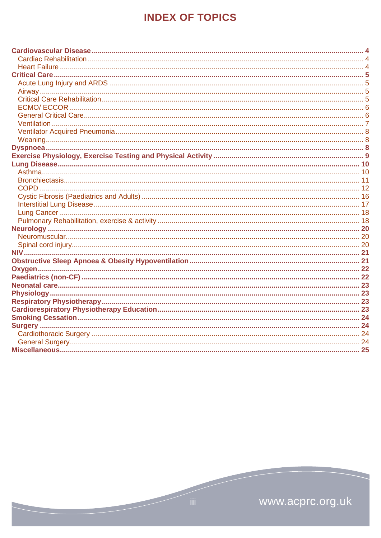# **INDEX OF TOPICS**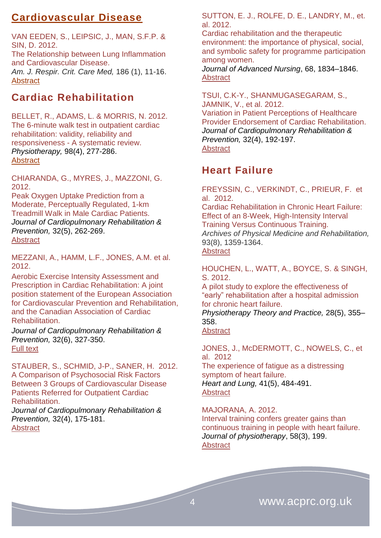### <span id="page-3-0"></span>**Cardiovascular Disease**

VAN EEDEN, S., LEIPSIC, J., MAN, S.F.P. & SIN, D. 2012. The Relationship between Lung Inflammation and Cardiovascular Disease. *Am. J. Respir. Crit. Care Med,* 186 (1), 11-16. [Abstract](http://ajrccm.atsjournals.org/content/186/1/11.abstract) 

### <span id="page-3-1"></span>**Cardiac Rehabilitation**

### BELLET, R., ADAMS, L. & MORRIS, N. 2012. [The 6-minute walk test in outpatient cardiac](http://www.physiotherapyjournal.com/article/S0031-9406(12)00022-3/abstract)  [rehabilitation: validity,](http://www.physiotherapyjournal.com/article/S0031-9406(12)00022-3/abstract) reliability and responsiveness - A [systematic review.](http://www.physiotherapyjournal.com/article/S0031-9406(12)00022-3/abstract) *Physiotherapy,* 98(4), 277-286.

**[Abstract](http://www.physiotherapyjournal.com/article/S0031-9406(12)00022-3/abstract)** 

CHIARANDA, G., MYRES, J., MAZZONI, G. 2012.

Peak Oxygen Uptake Prediction from a Moderate, Perceptually Regulated, 1-km Treadmill Walk in Male Cardiac Patients. *Journal of Cardiopulmonary Rehabilitation & Prevention,* 32(5), 262-269. [Abstract](http://journals.lww.com/jcrjournal/Abstract/2012/09000/Peak_Oxygen_Uptake_Prediction_From_a_Moderate,.5.aspx)

MEZZANI, A., HAMM, L.F., JONES, A.M. et al. 2012.

Aerobic Exercise Intensity Assessment and Prescription in Cardiac Rehabilitation: A joint position statement of the European Association for Cardiovascular Prevention and Rehabilitation, and the Canadian Association of Cardiac Rehabilitation.

*Journal of Cardiopulmonary Rehabilitation & Prevention,* 32(6), 327-350. [Full text](http://journals.lww.com/jcrjournal/Fulltext/2012/11000/Aerobic_Exercise_Intensity_Assessment_and.1.aspx) 

STAUBER, S., SCHMID, J-P., SANER, H. 2012. A Comparison of Psychosocial Risk Factors Between 3 Groups of Cardiovascular Disease Patients Referred for Outpatient Cardiac Rehabilitation.

*Journal of Cardiopulmonary Rehabilitation & Prevention,* 32(4), 175-181. [Abstract](http://journals.lww.com/jcrjournal/toc/2012/07000)

SUTTON, E. J., ROLFE, D. E., LANDRY, M., et. al. 2012.

Cardiac rehabilitation and the therapeutic environment: the importance of physical, social, and symbolic safety for programme participation among women.

*Journal of Advanced Nursing*, 68, 1834–1846. [Abstract](http://onlinelibrary.wiley.com/doi/10.1111/j.1365-2648.2012.06041.x/abstract)

TSUI, C.K-Y., SHANMUGASEGARAM, S., JAMNIK, V., et al. 2012. Variation in Patient Perceptions of Healthcare Provider Endorsement of Cardiac Rehabilitation. *Journal of Cardiopulmonary Rehabilitation & Prevention,* 32(4), 192-197. **[Abstract](http://journals.lww.com/jcrjournal/Abstract/2012/07000/Variation_in_Patient_Perceptions_of_Healthcare.4.aspx)** 

### <span id="page-3-2"></span>**Heart Failure**

FREYSSIN, C., VERKINDT, C., PRIEUR, F. et al. 2012. Cardiac Rehabilitation in Chronic Heart Failure: Effect of an 8-Week, High-Intensity Interval Training Versus Continuous Training. *Archives of Physical Medicine and Rehabilitation,* 93(8), 1359-1364. [Abstract](http://www.archives-pmr.org/article/S0003-9993(12)00182-7/abstract)

HOUCHEN, L., WATT, A., BOYCE, S. & SINGH, S. 2012.

A pilot study to explore the effectiveness of "early" rehabilitation after a hospital admission for chronic heart failure.

*Physiotherapy Theory and Practice,* 28(5), 355– 358.

#### [Abstract](http://informahealthcare.com/doi/abs/10.3109/09593985.2011.621015)

JONES, J., McDERMOTT, C., NOWELS, C., et al. 2012

The experience of fatigue as a distressing symptom of heart failure. *Heart and Lung,* 41(5), 484-491. **[Abstract](http://www.heartandlung.org/article/S0147-9563(12)00141-0/abstract)** 

MAJORANA, A. 2012. Interval training confers greater gains than continuous training in people with heart failure. *Journal of physiotherapy*, 58(3), 199. **[Abstract](http://www.ncbi.nlm.nih.gov/pubmed/22884189)**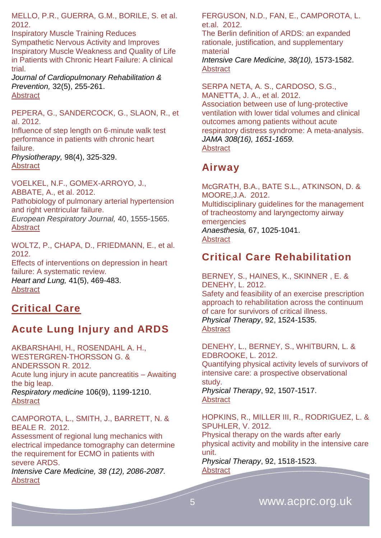MELLO, P.R., GUERRA, G.M., BORILE, S. et al. 2012.

Inspiratory Muscle Training Reduces Sympathetic Nervous Activity and Improves Inspiratory Muscle Weakness and Quality of Life in Patients with Chronic Heart Failure: A clinical trial.

*Journal of Cardiopulmonary Rehabilitation & Prevention,* 32(5), 255-261. [Abstract](http://journals.lww.com/jcrjournal/Abstract/2012/09000/Inspiratory_Muscle_Training_Reduces_Sympathetic.4.aspx)

PEPERA, G., SANDERCOCK, G., SLAON, R., et al. 2012.

Influence of step length on 6-minute walk test performance in patients with chronic heart failure.

*Physiotherapy,* 98(4), 325-329. **[Abstract](http://www.physiotherapyjournal.com/article/S0031-9406(11)00470-6/abstract)** 

VOELKEL, N.F., GOMEX-ARROYO, J., ABBATE, A., et al. 2012. Pathobiology of pulmonary arterial hypertension and right ventricular failure. *European Respiratory Journal,* 40, 1555-1565. **[Abstract](http://erj.ersjournals.com/content/40/6/1555.abstract)** 

WOLTZ, P., CHAPA, D., FRIEDMANN, E., et al. 2012. Effects of interventions on depression in heart failure: A systematic review. *Heart and Lung,* 41(5), 469-483. **[Abstract](http://www.heartandlung.org/article/S0147-9563(12)00251-8/abstract)** 

### <span id="page-4-0"></span>**Critical Care**

### <span id="page-4-1"></span>**Acute Lung Injury and ARDS**

AKBARSHAHI, H., ROSENDAHL A. H., WESTERGREN-THORSSON G. & ANDERSSON R. 2012. Acute lung injury in acute pancreatitis – Awaiting the big leap. *Respiratory medicine* 106(9), 1199-1210. [Abstract](http://www.resmedjournal.com/article/S0954-6111(12)00200-4/abstract)

CAMPOROTA, L., SMITH, J., BARRETT, N. & BEALE R. 2012.

Assessment of regional lung mechanics with electrical impedance tomography can determine the requirement for ECMO in patients with severe ARDS.

*Intensive Care Medicine, 38 (12), 2086-2087.* **[Abstract](http://icmjournal.esicm.org/journals/abstract.html?v=38&j=134&i=12&a=2701_10.1007_s00134-012-2701-2&doi)** 

FERGUSON, N.D., FAN, E., CAMPOROTA, L. et.al. 2012.

The Berlin definition of ARDS: an expanded rationale, justification, and supplementary material

*Intensive Care Medicine, 38(10),* 1573-1582. **[Abstract](http://link.springer.com/article/10.1007/s00134-012-2682-1)** 

SERPA NETA, A. S., CARDOSO, S.G., MANETTA, J. A., et al. 2012. Association between use of lung-protective ventilation with lower tidal volumes and clinical outcomes among patients without acute respiratory distress syndrome: A meta-analysis. *JAMA 308(16), 1651-1659.* **[Abstract](http://www.ncbi.nlm.nih.gov/pubmed/?term=assocaition+between+use+opf+lung-protective+ventialtion+with+lower+tidal+volumes+and+clinical)** 

### <span id="page-4-2"></span>**Airway**

McGRATH, B.A., BATE S.L., ATKINSON, D. & MOORE,J.A. 2012. Multidisciplinary guidelines for the management of tracheostomy and laryngectomy airway emergencies *Anaesthesia,* 67, 1025-1041. [Abstract](http://www.swetswise.com/eAccess/viewAbstract.do?articleID=166817268)

### <span id="page-4-3"></span>**Critical Care Rehabilitation**

BERNEY, S., HAINES, K., SKINNER , E. & DENEHY, L. 2012. Safety and feasibility of an exercise prescription approach to rehabilitation across the continuum of care for survivors of critical illness. *Physical Therapy*, 92, 1524-1535. **[Abstract](http://ptjournal.apta.org/content/92/12/1524.abstract)** 

DENEHY, L., BERNEY, S., WHITBURN, L. & EDBROOKE, L. 2012.

Quantifying physical activity levels of survivors of intensive care: a prospective observational study.

*Physical Therapy*, 92, 1507-1517. [Abstract](http://ptjournal.apta.org/content/92/12/1507.abstract)

HOPKINS, R., MILLER III, R., RODRIGUEZ, L. & SPUHLER, V. 2012.

Physical therapy on the wards after early physical activity and mobility in the intensive care unit.

*Physical Therapy*, 92, 1518-1523. **[Abstract](http://ptjournal.apta.org/content/92/12/1518.abstract)**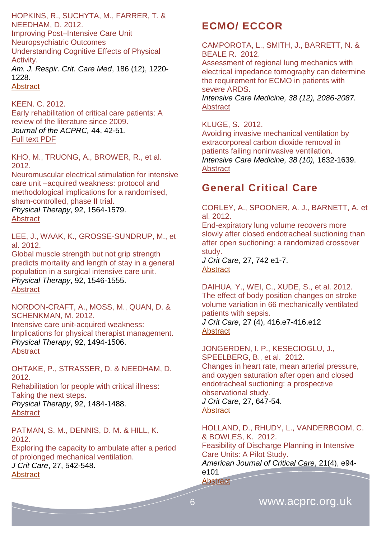HOPKINS, R., SUCHYTA, M., FARRER, T. & NEEDHAM, D. 2012. Improving Post–Intensive Care Unit Neuropsychiatric Outcomes Understanding Cognitive Effects of Physical Activity. *Am. J. Respir. Crit. Care Med*, 186 (12), 1220- 1228. **[Abstract](http://ajrccm.atsjournals.org/content/186/12/1220.abstract)** 

KEEN. C. 2012. Early rehabilitation of critical care patients: A review of the literature since 2009. *Journal of the ACPRC,* 44, 42-51. [Full text PDF](http://www.acprc.org.uk/dmdocuments/RBH%20Journal%202012.pdf)

KHO, M., TRUONG, A., BROWER, R., et al. 2012.

Neuromuscular electrical stimulation for intensive care unit –acquired weakness: protocol and methodological implications for a randomised, sham-controlled, phase II trial.

*Physical Therapy*, 92, 1564-1579. **[Abstract](http://ptjournal.apta.org/content/92/12/1564.abstract)** 

LEE, J., WAAK, K., GROSSE-SUNDRUP, M., et al. 2012.

Global muscle strength but not grip strength predicts mortality and length of stay in a general population in a surgical intensive care unit. *Physical Therapy*, 92, 1546-1555. [Abstract](http://ptjournal.apta.org/content/92/12/1546.abstract)

NORDON-CRAFT, A., MOSS, M., QUAN, D. & SCHENKMAN, M. 2012. Intensive care unit-acquired weakness:

Implications for physical therapist management. *Physical Therapy*, 92, 1494-1506. **[Abstract](http://ptjournal.apta.org/content/92/12/1494.abstract)** 

OHTAKE, P., STRASSER, D. & NEEDHAM, D. 2012. Rehabilitation for people with critical illness: Taking the next steps. *Physical Therapy*, 92, 1484-1488.

**[Abstract](http://ptjournal.apta.org/content/92/12/1482.extract)** 

PATMAN, S. M., DENNIS, D. M. & HILL, K. 2012.

Exploring the capacity to ambulate after a period of prolonged mechanical ventilation. *J Crit Care*, 27, 542-548. [Abstract](http://www.jccjournal.org/article/S0883-9441(12)00008-1/abstract)

# <span id="page-5-0"></span>**ECMO/ ECCOR**

CAMPOROTA, L., SMITH, J., BARRETT, N. & BEALE R. 2012.

Assessment of regional lung mechanics with electrical impedance tomography can determine the requirement for ECMO in patients with severe ARDS. *Intensive Care Medicine, 38 (12), 2086-2087.*

**[Abstract](http://icmjournal.esicm.org/journals/abstract.html?v=38&j=134&i=12&a=2701_10.1007_s00134-012-2701-2&doi)** 

KLUGE, S. 2012. Avoiding invasive mechanical ventilation by

extracorporeal carbon dioxide removal in patients failing noninvasive ventilation. *[Intensive Care Medicine,](http://link.springer.com/journal/134) 38 (10),* 1632-1639. **[Abstract](http://link.springer.com/article/10.1007/s00134-012-2649-2)** 

# <span id="page-5-1"></span>**General Critical Care**

CORLEY, A., SPOONER, A. J., BARNETT, A. et al. 2012.

End-expiratory lung volume recovers more slowly after closed endotracheal suctioning than after open suctioning: a randomized crossover study.

*J Crit Care*, 27, 742 e1-7. **[Abstract](http://www.jccjournal.org/article/S0883-9441(12)00303-6/abstract)** 

DAIHUA, Y., WEI, C., XUDE, S., et al. 2012. The effect of body position changes on stroke volume variation in 66 mechanically ventilated patients with sepsis.

*J Crit Care*, 27 (4), 416.e7-416.e12 **[Abstract](http://www.jccjournal.org/article/S0883-9441(12)00062-7/abstract)** 

JONGERDEN, I. P., KESECIOGLU, J., SPEELBERG, B., et al. 2012. Changes in heart rate, mean arterial pressure, and oxygen saturation after open and closed endotracheal suctioning: a prospective observational study. *J Crit Care*, 27, 647-54. **[Abstract](http://www.jccjournal.org/article/S0883-9441(12)00095-0/abstract)** 

HOLLAND, D., RHUDY, L., VANDERBOOM, C. & BOWLES, K. 2012. Feasibility of Discharge Planning in Intensive Care Units: A Pilot Study. *American Journal of Critical Care*, 21(4), e94 e101

**[Abstract](http://ajcc.aacnjournals.org/content/21/4/e94.abstract)**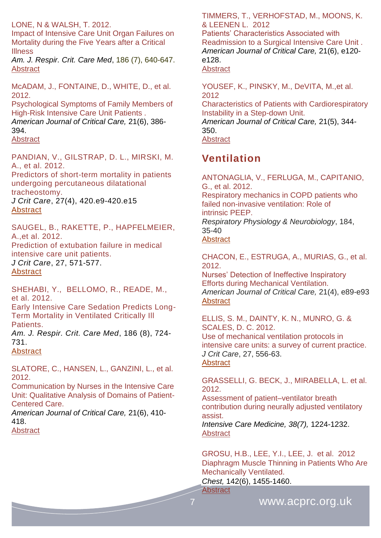#### LONE, N & WALSH, T. 2012.

Impact of Intensive Care Unit Organ Failures on Mortality during the Five Years after a Critical Illness

*Am. J. Respir. Crit. Care Med*, 186 (7), 640-647. [Abstract](http://ajrccm.atsjournals.org/content/186/7/640.abstract)

McADAM, J., FONTAINE, D., WHITE, D., et al. 2012.

Psychological Symptoms of Family Members of High-Risk Intensive Care Unit Patients .

*American Journal of Critical Care,* 21(6), 386- 394.

**[Abstract](http://ajcc.aacnjournals.org/content/21/6/386.abstract)** 

PANDIAN, V., GILSTRAP, D. L., MIRSKI, M. A., et al. 2012.

Predictors of short-term mortality in patients undergoing percutaneous dilatational tracheostomy.

*J Crit Care*, 27(4), 420.e9-420.e15 **[Abstract](http://www.jccjournal.org/article/S0883-9441(11)00445-X/abstract)** 

SAUGEL, B., RAKETTE, P., HAPFELMEIER, A.,et al. 2012.

Prediction of extubation failure in medical intensive care unit patients. *J Crit Care*, 27, 571-577. **[Abstract](http://www.jccjournal.org/article/S0883-9441(12)00023-8/abstract)** 

SHEHABI, Y., BELLOMO, R., READE, M., et al. 2012.

Early Intensive Care Sedation Predicts Long-Term Mortality in Ventilated Critically Ill Patients.

*Am. J. Respir. Crit. Care Med*, 186 (8), 724- 731.

**[Abstract](http://ajrccm.atsjournals.org/content/186/8/724.abstract)** 

SLATORE, C., HANSEN, L., GANZINI, L., et al. 2012.

Communication by Nurses in the Intensive Care Unit: Qualitative Analysis of Domains of Patient-Centered Care.

*American Journal of Critical Care,* 21(6), 410- 418.

**[Abstract](http://ajcc.aacnjournals.org/content/21/6/410.abstract)** 

TIMMERS, T., VERHOFSTAD, M., MOONS, K. & LEENEN L. 2012

Patients' Characteristics Associated with Readmission to a Surgical Intensive Care Unit . *American Journal of Critical Care,* 21(6), e120 e128.

**[Abstract](http://ajcc.aacnjournals.org/content/21/6/e120.abstract)** 

YOUSEF, K., PINSKY, M., DeVITA, M.,et al. 2012

Characteristics of Patients with Cardiorespiratory Instability in a Step-down Unit. *American Journal of Critical Care,* 21(5), 344- 350. **[Abstract](http://ajcc.aacnjournals.org/content/21/5/344.abstract)** 

### <span id="page-6-0"></span>**Ventilation**

ANTONAGLIA, V., FERLUGA, M., CAPITANIO, G., et al. 2012. Respiratory mechanics in COPD patients who failed non-invasive ventilation: Role of intrinsic PEEP. *Respiratory Physiology & Neurobiology*, 184, 35-40 **[Abstract](http://www.ncbi.nlm.nih.gov/pubmed/?term=Respiratory+mechanics+in+COPD+patients+who+failed+non-invasive+ventilation%3A+Role+of++intrinsic+PEEP.)** 

CHACON, E., ESTRUGA, A., MURIAS, G., et al. 2012.

Nurses' Detection of Ineffective Inspiratory Efforts during Mechanical Ventilation. *American Journal of Critical Care,* 21(4), e89-e93 **[Abstract](http://ajcc.aacnjournals.org/content/21/4/e89.abstract)** 

ELLIS, S. M., DAINTY, K. N., MUNRO, G. & SCALES, D. C. 2012. Use of mechanical ventilation protocols in

intensive care units: a survey of current practice. *J Crit Care*, 27, 556-63.

**[Abstract](http://www.jccjournal.org/article/S0883-9441(12)00160-8/abstract)** 

**[Abstract](http://journal.publications.chestnet.org/article.aspx?articleid=1215988)** 

GRASSELLI, G. BECK, J., MIRABELLA, L. et al. 2012.

Assessment of patient–ventilator breath contribution during neurally adjusted ventilatory assist.

*Intensive Care Medicine, 38(7),* 1224-1232. [Abstract](http://icmjournal.esicm.org/journals/abstract.html?v=38&j=134&i=7&a=2588_10.1007_s00134-012-2588-y&doi)

GROSU, H.B., LEE, Y.I., LEE, J. et al. 2012 [Diaphragm](http://journal.publications.chestnet.org/article.aspx?articleid=1215988) Muscle Thinning in Patients Who Are [Mechanically](http://journal.publications.chestnet.org/article.aspx?articleid=1215988) Ventilated.

*Chest,* 142(6), 1455-1460.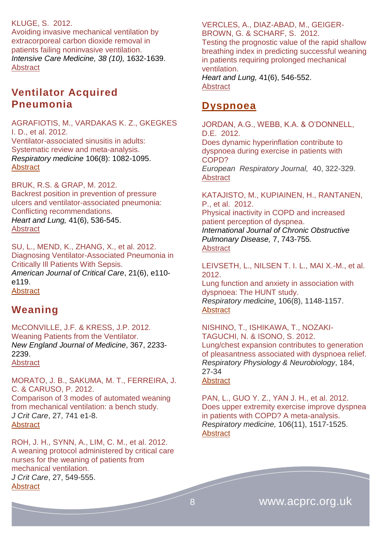### KLUGE, S. 2012.

Avoiding invasive mechanical ventilation by extracorporeal carbon dioxide removal in patients failing noninvasive ventilation. *[Intensive Care Medicine,](http://link.springer.com/journal/134) 38 (10),* 1632-1639. **[Abstract](http://link.springer.com/article/10.1007/s00134-012-2649-2)** 

### <span id="page-7-0"></span>**Ventilator Acquired Pneumonia**

AGRAFIOTIS, M., VARDAKAS K. Z., GKEGKES I. D., et al. 2012. Ventilator-associated sinusitis in adults: Systematic review and meta-analysis. *Respiratory medicine* 106(8): 1082-1095. **[Abstract](http://www.resmedjournal.com/article/S0954-6111(12)00119-9/abstract)** 

BRUK, R.S. & GRAP, M. 2012. Backrest position in prevention of pressure ulcers and ventilator-associated pneumonia: Conflicting recommendations. *Heart and Lung,* 41(6), 536-545. **[Abstract](http://www.heartandlung.org/article/S0147-9563(12)00207-5/abstract)** 

SU, L., MEND, K., ZHANG, X., et al. 2012. Diagnosing Ventilator-Associated Pneumonia in Critically Ill Patients With Sepsis. *American Journal of Critical Care*, 21(6), e110 e119. **[Abstract](http://ajcc.aacnjournals.org/content/21/6/e110.abstract)** 

### <span id="page-7-1"></span>**Weaning**

McCONVILLE, J.F. & KRESS, J.P. 2012. Weaning Patients from the Ventilator. *New England Journal of Medicine*, 367, 2233- 2239.

**[Abstract](http://www.nejm.org/doi/full/10.1056/NEJMra1203367)** 

MORATO, J. B., SAKUMA, M. T., FERREIRA, J. C. & CARUSO, P. 2012. Comparison of 3 modes of automated weaning from mechanical ventilation: a bench study. *J Crit Care*, 27, 741 e1-8. **[Abstract](http://www.jccjournal.org/article/S0883-9441(12)00009-3/abstract)** 

ROH, J. H., SYNN, A., LIM, C. M., et al. 2012. A weaning protocol administered by critical care nurses for the weaning of patients from mechanical ventilation. *J Crit Care*, 27, 549-555. **[Abstract](http://www.jccjournal.org/article/S0883-9441(11)00491-6/abstract)** 

VERCLES, A., DIAZ-ABAD, M., GEIGER-BROWN, G. & SCHARF, S. 2012. Testing the prognostic value of the rapid shallow breathing index in predicting successful weaning in patients requiring prolonged mechanical ventilation. *Heart and Lung,* 41(6), 546-552. **[Abstract](http://www.heartandlung.org/article/S0147-9563(12)00252-X/abstract)** 

### <span id="page-7-2"></span>**Dyspnoea**

JORDAN, A.G., WEBB, K.A. & O'DONNELL, D.E. 2012. Does dynamic hyperinflation contribute to

dyspnoea during exercise in patients with COPD?

*European Respiratory Journal,* 40, 322-329. **[Abstract](http://erj.ersjournals.com/content/40/2/322.abstract)** 

KATAJISTO, M., KUPIAINEN, H., RANTANEN, P., et al. 2012. [Physical inactivity in COPD and increased](http://www.dovepress.com/physical-inactivity-in-copd-and-increased-patient-perception-of-dyspne-peer-reviewed-article-COPD)  [patient perception of dyspnea.](http://www.dovepress.com/physical-inactivity-in-copd-and-increased-patient-perception-of-dyspne-peer-reviewed-article-COPD) *International Journal of Chronic Obstructive Pulmonary Disease,* 7, 743-755*.* [Abstract](http://www.dovepress.com/physical-inactivity-in-copd-and-increased-patient-perception-of-dyspne-peer-reviewed-article-COPD)

LEIVSETH, L., NILSEN T. I. L., MAI X.-M., et al. 2012.

Lung function and anxiety in association with dyspnoea: The HUNT study. *Respiratory medicine*, 106(8), 1148-1157. [Abstract](http://www.resmedjournal.com/article/S0954-6111(12)00127-8/abstract)

NISHINO, T., ISHIKAWA, T., NOZAKI-TAGUCHI, N. & ISONO, S. 2012. Lung/chest expansion contributes to generation of pleasantness associated with dyspnoea relief. *Respiratory Physiology & Neurobiology*, 184, 27-34

### [Abstract](http://www.ncbi.nlm.nih.gov/pubmed/?term=Lung%2Fchest+expansion+contributes+to+generation+of+pleasantness+associated+with++dyspnoea+relief.)

PAN, L., GUO Y. Z., YAN J. H., et al. 2012. Does upper extremity exercise improve dyspnea in patients with COPD? A meta-analysis. *Respiratory medicine,* 106(11), 1517-1525. **[Abstract](http://www.resmedjournal.com/article/S0954-6111(12)00293-4/abstract)**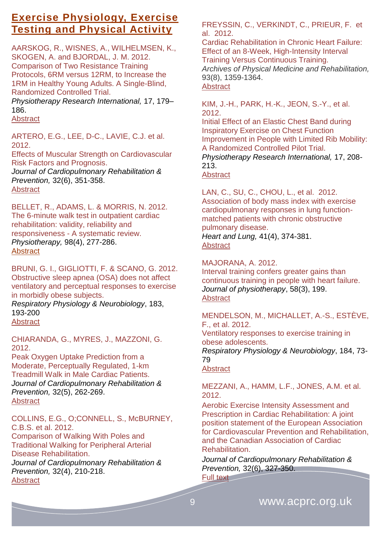### <span id="page-8-0"></span>**Exercise Physiology, Exercise Testing and Physical Activity**

AARSKOG, R., WISNES, A., WILHELMSEN, K., SKOGEN, A. and BJORDAL, J. M. 2012. Comparison of Two Resistance Training Protocols, 6RM versus 12RM, to Increase the 1RM in Healthy Young Adults. A Single-Blind, Randomized Controlled Trial.

*Physiotherapy Research International,* 17, 179– 186.

**Abstract** 

ARTERO, E.G., LEE, D-C., LAVIE, C.J. et al. 2012.

[Effects of Muscular Strength on Cardiovascular](http://journals.lww.com/jcrjournal/Abstract/2012/11000/Effects_of_Muscular_Strength_on_Cardiovascular.2.aspx)  [Risk Factors and Prognosis.](http://journals.lww.com/jcrjournal/Abstract/2012/11000/Effects_of_Muscular_Strength_on_Cardiovascular.2.aspx)

*Journal of Cardiopulmonary Rehabilitation & Prevention,* 32(6), 351-358. **[Abstract](http://journals.lww.com/jcrjournal/Abstract/2012/11000/Effects_of_Muscular_Strength_on_Cardiovascular.2.aspx)** 

BELLET, R., ADAMS, L. & MORRIS, N. 2012. [The 6-minute walk test in outpatient cardiac](http://www.physiotherapyjournal.com/article/S0031-9406(12)00022-3/abstract)  [rehabilitation: validity, reliability and](http://www.physiotherapyjournal.com/article/S0031-9406(12)00022-3/abstract)  responsiveness - [A systematic review.](http://www.physiotherapyjournal.com/article/S0031-9406(12)00022-3/abstract) *Physiotherapy,* 98(4), 277-286. [Abstract](http://www.physiotherapyjournal.com/article/S0031-9406(12)00022-3/abstract)

BRUNI, G. I., GIGLIOTTI, F. & SCANO, G. 2012. Obstructive sleep apnea (OSA) does not affect ventilatory and perceptual responses to exercise in morbidly obese subjects.

*Respiratory Physiology & Neurobiology*, 183, 193-200

**[Abstract](http://www.ncbi.nlm.nih.gov/pubmed/22772311)** 

CHIARANDA, G., MYRES, J., MAZZONI, G. 2012.

Peak Oxygen Uptake Prediction from a Moderate, Perceptually Regulated, 1-km Treadmill Walk in Male Cardiac Patients. *Journal of Cardiopulmonary Rehabilitation & Prevention,* 32(5), 262-269. **[Abstract](http://journals.lww.com/jcrjournal/Abstract/2012/09000/Peak_Oxygen_Uptake_Prediction_From_a_Moderate,.5.aspx)** 

COLLINS, E.G., O;CONNELL, S., McBURNEY, C.B.S. et al. 2012.

Comparison of Walking With Poles and Traditional Walking for Peripheral Arterial Disease Rehabilitation. *Journal of Cardiopulmonary Rehabilitation & Prevention,* 32(4), 210-218. [Abstract](http://journals.lww.com/jcrjournal/Abstract/2012/07000/Comparison_of_Walking_With_Poles_and_Traditional.7.aspx)

FREYSSIN, C., VERKINDT, C., PRIEUR, F. et al. 2012.

Cardiac Rehabilitation in Chronic Heart Failure: Effect of an 8-Week, High-Intensity Interval Training Versus Continuous Training.

*Archives of Physical Medicine and Rehabilitation,* 93(8), 1359-1364. **[Abstract](http://www.archives-pmr.org/article/S0003-9993(12)00182-7/abstract)** 

KIM, J.-H., PARK, H.-K., JEON, S.-Y., et al. 2012.

Initial Effect of an Elastic Chest Band during Inspiratory Exercise on Chest Function Improvement in People with Limited Rib Mobility: A Randomized Controlled Pilot Trial.

*Physiotherapy Research International,* 17, 208- 213.

[Abstract](http://onlinelibrary.wiley.com/doi/10.1002/pri.1520/abstract)

LAN, C., SU, C., CHOU, L., et al. 2012. Association of body mass index with exercise cardiopulmonary responses in lung functionmatched patients with chronic obstructive pulmonary disease. *Heart and Lung,* 41(4), 374-381.

[Abstract](http://www.heartandlung.org/article/S0147-9563(12)00071-4/abstract)

MAJORANA, A. 2012.

Interval training confers greater gains than continuous training in people with heart failure. *Journal of physiotherapy*, 58(3), 199. **[Abstract](http://www.ncbi.nlm.nih.gov/pubmed/22884189)** 

MENDELSON, M., MICHALLET, A.-S., ESTÈVE, F., et al. 2012. Ventilatory responses to exercise training in obese adolescents. *Respiratory Physiology & Neurobiology*, 184, 73- 79

[Abstract](http://www.ncbi.nlm.nih.gov/pubmed/?term=Ventilatory+responses+to+exercise+training+in+obese+adolescents.)

MEZZANI, A., HAMM, L.F., JONES, A.M. et al. 2012.

Aerobic Exercise Intensity Assessment and Prescription in Cardiac Rehabilitation: A joint position statement of the European Association for Cardiovascular Prevention and Rehabilitation, and the Canadian Association of Cardiac Rehabilitation.

*Journal of Cardiopulmonary Rehabilitation & Prevention,* 32(6), 327-350. Full text<sup>-1</sup>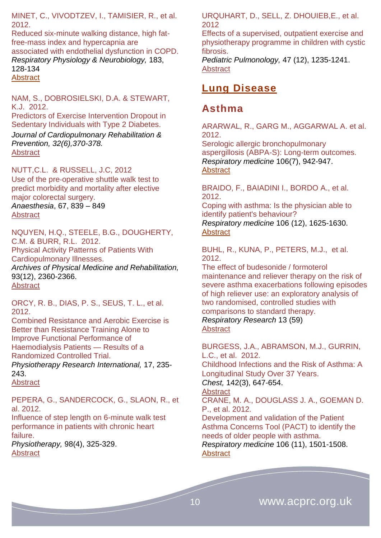MINET, C., VIVODTZEV, I., TAMISIER, R., et al. 2012.

Reduced six-minute walking distance, high fatfree-mass index and hypercapnia are associated with endothelial dysfunction in COPD. *Respiratory Physiology & Neurobiology,* 183, 128-134 **[Abstract](http://www.ncbi.nlm.nih.gov/pubmed/?term=Reduced+six-minute+walking+distance%2C+high+fat-free-mass+index+and+hypercapnia+are++associated+with+endothelial+dysfunction+in+COPD.)** 

NAM, S., DOBROSIELSKI, D.A. & STEWART, K.J. 2012.

[Predictors of Exercise Intervention Dropout in](http://journals.lww.com/jcrjournal/Abstract/2012/11000/Predictors_of_Exercise_Intervention_Dropout_in.4.aspx)  [Sedentary Individuals with Type 2 Diabetes.](http://journals.lww.com/jcrjournal/Abstract/2012/11000/Predictors_of_Exercise_Intervention_Dropout_in.4.aspx) *Journal of Cardiopulmonary Rehabilitation & Prevention, 32(6),370-378.* 

[Abstract](http://journals.lww.com/jcrjournal/Abstract/2012/11000/Predictors_of_Exercise_Intervention_Dropout_in.4.aspx)

NUTT,C.L. & RUSSELL, J.C, 2012 Use of the pre‐operative shuttle walk test to predict morbidity and mortality after elective major colorectal surgery. *Anaesthesia*, 67, 839 – 849 **[Abstract](http://www.swetswise.com/eAccess/viewAbstract.do?articleID=166556689)** 

NQUYEN, H.Q., STEELE, B.G., DOUGHERTY, C.M. & BURR, R.L. 2012. Physical Activity Patterns of Patients With

Cardiopulmonary Illnesses.

*Archives of Physical Medicine and Rehabilitation,* 93(12), 2360-2366. **[Abstract](http://www.archives-pmr.org/article/S0003-9993(12)00503-5/abstract)** 

ORCY, R. B., DIAS, P. S., SEUS, T. L., et al. 2012.

Combined Resistance and Aerobic Exercise is Better than Resistance Training Alone to Improve Functional Performance of Haemodialysis Patients — Results of a Randomized Controlled Trial. *Physiotherapy Research International,* 17, 235- 243.

**[Abstract](http://onlinelibrary.wiley.com/doi/10.1002/pri.1526/abstract)** 

PEPERA, G., SANDERCOCK, G., SLAON, R., et al. 2012.

Influence of step length on 6-minute walk test performance in patients with chronic heart failure.

*Physiotherapy,* 98(4), 325-329. **[Abstract](http://www.physiotherapyjournal.com/article/S0031-9406(11)00470-6/abstract)** 

URQUHART, D., SELL, Z. DHOUIEB,E., et al. 2012

Effects of a supervised, outpatient exercise and physiotherapy programme in children with cystic fibrosis.

*Pediatric Pulmonology,* 47 (12), 1235-1241. **[Abstract](http://www.ncbi.nlm.nih.gov/pubmed/?term=Effects+of+a+supervised%2C+outpatient+exercise+and+physiotherapy+programme+in+children+with+cystic+fibrosis)** 

### <span id="page-9-0"></span>**Lung Disease**

### <span id="page-9-1"></span>**Asthma**

ARARWAL, R., GARG M., AGGARWAL A. et al. 2012.

Serologic allergic bronchopulmonary aspergillosis (ABPA-S): Long-term outcomes. *Respiratory medicine* 106(7), 942-947. **[Abstract](http://www.resmedjournal.com/article/S0954-6111(12)00086-8/abstract)** 

BRAIDO, F., BAIADINI I., BORDO A., et al. 2012.

Coping with asthma: Is the physician able to identify patient's behaviour? *Respiratory medicine* 106 (12), 1625-1630. [Abstract](http://www.resmedjournal.com/article/S0954-6111(12)00348-4/abstract)

BUHL, R., KUNA, P., PETERS, M.J., et al. 2012.

The effect of budesonide / formoterol maintenance and reliever therapy on the risk of severe asthma exacerbations following episodes of high reliever use: an exploratory analysis of two randomised, controlled studies with comparisons to standard therapy.

*Respiratory Research* 13 (59) **[Abstract](http://respiratory-research.com/content/13/1/59)** 

BURGESS, J.A., ABRAMSON, M.J., GURRIN, L.C., et al. 2012.

[Childhood](http://journal.publications.chestnet.org/article.aspx?articleid=1215981) Infections and the Risk of Asthma: A [Longitudinal](http://journal.publications.chestnet.org/article.aspx?articleid=1215981) Study Over 37 Years.

*Chest,* 142(3), 647-654.

### **[Abstract](http://journal.publications.chestnet.org/article.aspx?articleid=1215981)**

CRANE, M. A., DOUGLASS J. A., GOEMAN D. P., et al. 2012.

Development and validation of the Patient Asthma Concerns Tool (PACT) to identify the needs of older people with asthma. *Respiratory medicine* 106 (11), 1501-1508. **[Abstract](http://www.resmedjournal.com/article/S0954-6111(12)00263-6/abstract)**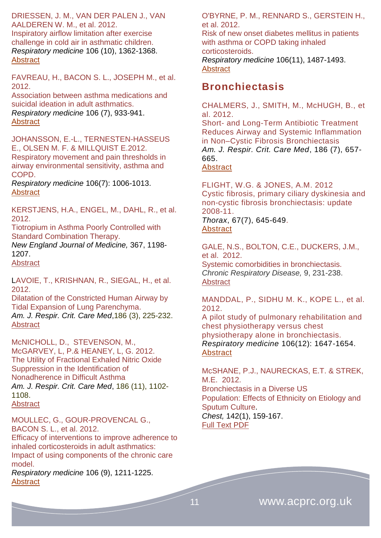DRIESSEN, J. M., VAN DER PALEN J., VAN AALDEREN W. M., et al. 2012.

Inspiratory airflow limitation after exercise challenge in cold air in asthmatic children. *Respiratory medicine* 106 (10), 1362-1368. **[Abstract](http://www.resmedjournal.com/article/S0954-6111(12)00231-4/abstract)** 

FAVREAU, H., BACON S. L., JOSEPH M., et al. 2012.

Association between asthma medications and suicidal ideation in adult asthmatics. *Respiratory medicine* 106 (7), 933-941. [Abstract](http://www.resmedjournal.com/article/S0954-6111(12)00113-8/abstract)

JOHANSSON, E.-L., TERNESTEN-HASSEUS E., OLSEN M. F. & MILLQUIST E.2012. Respiratory movement and pain thresholds in airway environmental sensitivity, asthma and COPD.

*Respiratory medicine* 106(7): 1006-1013. **[Abstract](http://www.resmedjournal.com/article/S0954-6111(12)00121-7/abstract)** 

KERSTJENS, H.A., ENGEL, M., DAHL, R., et al. 2012.

Tiotropium in Asthma Poorly Controlled with Standard Combination Therapy.

*New England Journal of Medicine,* 367, 1198- 1207.

**[Abstract](http://www.nejm.org/doi/full/10.1056/NEJMoa1208606)** 

LAVOIE, T., KRISHNAN, R., SIEGAL, H., et al. 2012.

Dilatation of the Constricted Human Airway by Tidal Expansion of Lung Parenchyma. *Am. J. Respir. Crit. Care Med*,186 (3), 225-232. [Abstract](http://ajrccm.atsjournals.org/content/186/3/225.abstract)

McNICHOLL, D., STEVENSON, M., McGARVEY, L, P.& HEANEY, L, G. 2012. The Utility of Fractional Exhaled Nitric Oxide Suppression in the Identification of Nonadherence in Difficult Asthma *Am. J. Respir. Crit. Care Med*, 186 (11), 1102- 1108.

**[Abstract](http://ajrccm.atsjournals.org/content/186/11/1102.abstract)** 

MOULLEC, G., GOUR-PROVENCAL G., BACON S. L., et al. 2012.

Efficacy of interventions to improve adherence to inhaled corticosteroids in adult asthmatics: Impact of using components of the chronic care model.

*Respiratory medicine* 106 (9), 1211-1225. **[Abstract](http://www.resmedjournal.com/article/S0954-6111(12)00198-9/abstract)** 

O'BYRNE, P. M., RENNARD S., GERSTEIN H., et al. 2012.

Risk of new onset diabetes mellitus in patients with asthma or COPD taking inhaled corticosteroids.

*Respiratory medicine* 106(11), 1487-1493. **[Abstract](http://www.resmedjournal.com/article/S0954-6111(12)00273-9/abstract)** 

### <span id="page-10-0"></span>**Bronchiectasis**

CHALMERS, J., SMITH, M., McHUGH, B., et al. 2012.

Short- and Long-Term Antibiotic Treatment Reduces Airway and Systemic Inflammation in Non–Cystic Fibrosis Bronchiectasis *Am. J. Respir. Crit. Care Med*, 186 (7), 657- 665.

[Abstract](http://ajrccm.atsjournals.org/content/186/7/657.abstract)

FLIGHT, W.G. & JONES, A.M. 2012 Cystic fibrosis, primary ciliary dyskinesia and non-cystic fibrosis bronchiectasis: update 2008-11. *Thorax*, 67(7), 645-649.

### [Abstract](http://thorax.bmj.com/content/67/7/645.abstract)

GALE, N.S., BOLTON, C.E., DUCKERS, J.M., et al. 2012. Systemic comorbidities in bronchiectasis. *Chronic Respiratory Disease,* 9, 231-238. [Abstract](http://crd.sagepub.com/content/9/4/231.abstract)

MANDDAL, P., SIDHU M. K., KOPE L., et al. 2012. A pilot study of pulmonary rehabilitation and

chest physiotherapy versus chest physiotherapy alone in bronchiectasis. *Respiratory medicine* 106(12): 1647-1654. [Abstract](http://www.resmedjournal.com/article/S0954-6111(12)00295-8/abstract)

McSHANE, P.J., NAURECKAS, E.T. & STREK, M.E. 2012. [Bronchiectasis](http://journal.publications.chestnet.org/article.aspx?articleid=1206619) in a Diverse US [Population:](http://journal.publications.chestnet.org/article.aspx?articleid=1206619) Effects of Ethnicity on Etiology and [Sputum](http://journal.publications.chestnet.org/article.aspx?articleid=1206619) Culture. *Chest,* 142(1), 159-167. [Full Text PDF](http://journal.publications.chestnet.org/data/Journals/CHEST/24328/159.pdf)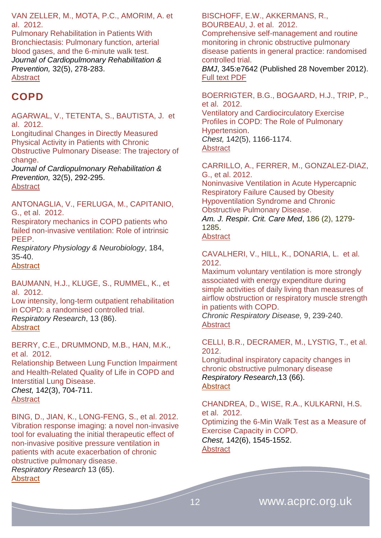VAN ZELLER, M., MOTA, P.C., AMORIM, A. et al. 2012.

Pulmonary Rehabilitation in Patients With Bronchiectasis: Pulmonary function, arterial blood gases, and the 6-minute walk test. *Journal of Cardiopulmonary Rehabilitation & Prevention,* 32(5), 278-283. **Abstract** 

### <span id="page-11-0"></span>**COPD**

AGARWAL, V., TETENTA, S., BAUTISTA, J. et al. 2012.

Longitudinal Changes in Directly Measured Physical Activity in Patients with Chronic Obstructive Pulmonary Disease: The trajectory of change.

*Journal of Cardiopulmonary Rehabilitation & Prevention,* 32(5), 292-295. **[Abstract](http://journals.lww.com/jcrjournal/Abstract/2012/09000/Longitudinal_Changes_in_Directly_Measured_Physical.9.aspx)** 

ANTONAGLIA, V., FERLUGA, M., CAPITANIO, G., et al. 2012.

Respiratory mechanics in COPD patients who failed non-invasive ventilation: Role of intrinsic PEEP.

*Respiratory Physiology & Neurobiology*, 184, 35-40.

**[Abstract](http://www.ncbi.nlm.nih.gov/pubmed/?term=Respiratory+mechanics+in+COPD+patients+who+failed+non-invasive+ventilation%3A+Role+of++intrinsic+PEEP.)** 

BAUMANN, H.J., KLUGE, S., RUMMEL, K., et al. 2012.

Low intensity, long-term outpatient rehabilitation in COPD: a randomised controlled trial. *Respiratory Research*, 13 (86). [Abstract](http://respiratory-research.com/content/13/1/86)

BERRY, C.E., DRUMMOND, M.B., HAN, M.K., et al. 2012.

[Relationship](http://journal.publications.chestnet.org/article.aspx?articleid=1215979) Between Lung Function Impairment and [Health-Related](http://journal.publications.chestnet.org/article.aspx?articleid=1215979) Quality of Life in COPD and [Interstitial](http://journal.publications.chestnet.org/article.aspx?articleid=1215979) Lung Disease. *Chest,* 142(3), 704-711.

**[Abstract](http://journal.publications.chestnet.org/article.aspx?articleid=1215979&atab=10)** 

BING, D., JIAN, K., LONG-FENG, S., et al. 2012. Vibration response imaging: a novel non-invasive tool for evaluating the initial therapeutic effect of non-invasive positive pressure ventilation in patients with acute exacerbation of chronic obstructive pulmonary disease. *Respiratory Research* 13 (65). **[Abstract](http://respiratory-research.com/content/13/1/65)** 

BISCHOFF, E.W., AKKERMANS, R., BOURBEAU, J. et al. 2012.

Comprehensive self-management and routine monitoring in chronic obstructive pulmonary disease patients in general practice: randomised controlled trial.

*BMJ*, 345:e7642 (Published 28 November 2012). [Full text PDF](http://www.bmj.com/content/345/bmj.e7642.pdf%2Bhtml)

BOERRIGTER, B.G., BOGAARD, H.J., TRIP, P., et al. 2012.

[Ventilatory and Cardiocirculatory Exercise](http://journal.publications.chestnet.org/article.aspx?articleid=1216039)  Profiles in COPD: [The Role of Pulmonary](http://journal.publications.chestnet.org/article.aspx?articleid=1216039)  [Hypertension.](http://journal.publications.chestnet.org/article.aspx?articleid=1216039) *Chest,* 142(5), 1166-1174. **[Abstract](http://journal.publications.chestnet.org/article.aspx?articleid=1216039)** 

CARRILLO, A., FERRER, M., GONZALEZ-DIAZ, G., et al. 2012.

Noninvasive Ventilation in Acute Hypercapnic Respiratory Failure Caused by Obesity Hypoventilation Syndrome and Chronic Obstructive Pulmonary Disease.

*Am. J. Respir. Crit. Care Med*, 186 (2), 1279- 1285.

**[Abstract](http://ajrccm.atsjournals.org/content/186/12/1279.abstract)** 

CAVALHERI, V., HILL, K., DONARIA, L. et al. 2012.

Maximum voluntary ventilation is more strongly associated with energy expenditure during simple activities of daily living than measures of airflow obstruction or respiratory muscle strength in patients with COPD.

*Chronic Respiratory Disease,* 9, 239-240. [Abstract](http://crd.sagepub.com/content/9/4/239.abstract) 

CELLI, B.R., DECRAMER, M., LYSTIG, T., et al. 2012.

Longitudinal inspiratory capacity changes in chronic obstructive pulmonary disease *Respiratory Research*,13 (66). [Abstract](http://respiratory-research.com/content/13/1/66)

CHANDREA, D., WISE, R.A., KULKARNI, H.S. et al. 2012. [Optimizing](http://journal.publications.chestnet.org/article.aspx?articleid=1216033) the 6-Min Walk Test as a Measure of Exercise [Capacity](http://journal.publications.chestnet.org/article.aspx?articleid=1216033) in COPD. *Chest,* 142(6), 1545-1552. **[Abstract](http://journal.publications.chestnet.org/article.aspx?articleid=1216033)**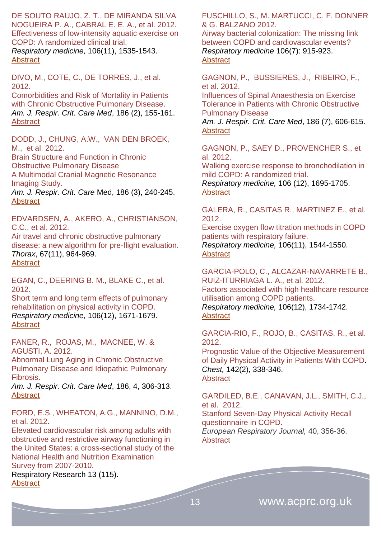DE SOUTO RAUJO, Z. T., DE MIRANDA SILVA NOGUEIRA P. A., CABRAL E. E. A., et al. 2012. Effectiveness of low-intensity aquatic exercise on COPD: A randomized clinical trial. *Respiratory medicine,* 106(11), 1535-1543. **[Abstract](http://www.resmedjournal.com/article/S0954-6111(12)00236-3/abstract)** 

DIVO, M., COTE, C., DE TORRES, J., et al. 2012.

Comorbidities and Risk of Mortality in Patients with Chronic Obstructive Pulmonary Disease. *Am. J. Respir. Crit. Care Med*, 186 (2), 155-161. [Abstract](http://ajrccm.atsjournals.org/content/186/2/155.abstract)

DODD, J., CHUNG, A.W., VAN DEN BROEK, M., et al. 2012.

Brain Structure and Function in Chronic Obstructive Pulmonary Disease A Multimodal Cranial Magnetic Resonance Imaging Study.

*Am. J. Respir. Crit. Care* Med, 186 (3), 240-245. **[Abstract](http://ajrccm.atsjournals.org/content/186/3/240.abstract)** 

EDVARDSEN, A., AKERO, A., CHRISTIANSON, C.C., et al. 2012.

Air travel and chronic obstructive pulmonary disease: a new algorithm for pre-flight evaluation. *Thorax*, 67(11), 964-969. **[Abstract](http://thorax.bmj.com/content/67/11/964.abstract)** 

EGAN, C., DEERING B. M., BLAKE C., et al. 2012.

Short term and long term effects of pulmonary rehabilitation on physical activity in COPD. *Respiratory medicine,* 106(12), 1671-1679. [Abstract](http://www.resmedjournal.com/article/S0954-6111(12)00312-5/abstract)

FANER, R., ROJAS, M., MACNEE, W. & AGUSTI, A. 2012.

Abnormal Lung Aging in Chronic Obstructive Pulmonary Disease and Idiopathic Pulmonary Fibrosis.

*Am. J. Respir. Crit. Care Med*, 186, 4, 306-313. **[Abstract](http://ajrccm.atsjournals.org/content/186/4/306.abstract)** 

FORD, E.S., WHEATON, A.G., MANNINO, D.M., et al. 2012.

Elevated cardiovascular risk among adults with obstructive and restrictive airway functioning in the United States: a cross-sectional study of the National Health and Nutrition Examination Survey from 2007-2010.

Respiratory Research 13 (115). **[Abstract](http://respiratory-research.com/content/13/1/115)** 

FUSCHILLO, S., M. MARTUCCI, C. F. DONNER & G. BALZANO 2012.

Airway bacterial colonization: The missing link between COPD and cardiovascular events? *Respiratory medicine* 106(7): 915-923. **[Abstract](http://www.resmedjournal.com/article/S0954-6111(12)00152-7/abstract)** 

GAGNON, P., BUSSIERES, J., RIBEIRO, F., et al. 2012.

Influences of Spinal Anaesthesia on Exercise Tolerance in Patients with Chronic Obstructive Pulmonary Disease

*Am. J. Respir. Crit. Care Med*, 186 (7), 606-615. **[Abstract](http://ajrccm.atsjournals.org/content/186/7/606.abstract)** 

GAGNON, P., SAEY D., PROVENCHER S., et al. 2012.

Walking exercise response to bronchodilation in mild COPD: A randomized trial.

*Respiratory medicine,* 106 (12), 1695-1705. [Abstract](http://www.resmedjournal.com/article/S0954-6111(12)00317-4/abstract)

GALERA, R., CASITAS R., MARTINEZ E., et al. 2012.

Exercise oxygen flow titration methods in COPD patients with respiratory failure. *Respiratory medicine,* 106(11), 1544-1550. **[Abstract](http://www.resmedjournal.com/article/S0954-6111(12)00235-1/abstract)** 

GARCIA-POLO, C., ALCAZAR-NAVARRETE B., RUIZ-ITURRIAGA L. A., et al. 2012. Factors associated with high healthcare resource utilisation among COPD patients. *Respiratory medicine,* 106(12), 1734-1742. **[Abstract](http://www.resmedjournal.com/article/S0954-6111(12)00350-2/abstract)** 

GARCIA-RIO, F., ROJO, B., CASITAS, R., et al. 2012.

Prognostic Value of the Objective [Measurement](http://journal.publications.chestnet.org/article.aspx?articleid=1262325) of Daily [Physical](http://journal.publications.chestnet.org/article.aspx?articleid=1262325) Activity in Patients With COPD. *Chest,* 142(2), 338-346. **[Abstract](http://journal.publications.chestnet.org/article.aspx?articleid=1262325)** 

GARDILED, B.E., CANAVAN, J.L., SMITH, C.J., et al. 2012. Stanford Seven-Day Physical Activity Recall questionnaire in COPD. *European Respiratory Journal,* 40, 356-36. **[Abstract](http://erj.ersjournals.com/content/40/2/356.abstract)**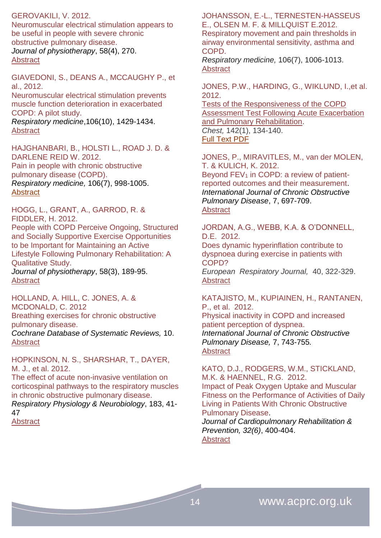GEROVAKILI, V. 2012.

Neuromuscular electrical stimulation appears to be useful in people with severe chronic obstructive pulmonary disease. *Journal of physiotherapy*, 58(4), 270. **[Abstract](http://www.ncbi.nlm.nih.gov/pubmed/23177231)** 

GIAVEDONI, S., DEANS A., MCCAUGHY P., et al., 2012.

Neuromuscular electrical stimulation prevents muscle function deterioration in exacerbated COPD: A pilot study.

*Respiratory medicine*,106(10), 1429-1434. **[Abstract](http://www.resmedjournal.com/article/S0954-6111(12)00188-6/abstract)** 

HAJGHANBARI, B., HOLSTI L., ROAD J. D. & DARLENE REID W. 2012. Pain in people with chronic obstructive pulmonary disease (COPD). *Respiratory medicine,* 106(7), 998-1005. [Abstract](http://www.resmedjournal.com/article/S0954-6111(12)00114-X/abstract)

HOGG, L., GRANT, A., GARROD, R. & FIDDLER, H. 2012. People with COPD Perceive Ongoing, Structured and Socially Supportive Exercise Opportunities to be Important for Maintaining an Active Lifestyle Following Pulmonary Rehabilitation: A Qualitative Study. *Journal of physiotherapy*, 58(3), 189-95. [Abstract](http://www.ncbi.nlm.nih.gov/pubmed/22884186)

HOLLAND, A. HILL, C. JONES, A. & MCDONALD, C. 2012 Breathing exercises for chronic obstructive pulmonary disease.

*Cochrane Database of Systematic Reviews,* 10. **[Abstract](http://onlinelibrary.wiley.com/doi/10.1002/14651858.CD008250.pub2/abstract)** 

HOPKINSON, N. S., SHARSHAR, T., DAYER, M. J., et al. 2012.

The effect of acute non-invasive ventilation on corticospinal pathways to the respiratory muscles in chronic obstructive pulmonary disease.

*Respiratory Physiology & Neurobiology*, 183, 41- 47

[Abstract](http://www.ncbi.nlm.nih.gov/pubmed/?term=The+effect+of+acute+non-invasive+ventilation+on+corticospinal+pathways+to+the+respiratory+muscles+in+chronic+obstructive+pulmonary+disease.)

JOHANSSON, E.-L., TERNESTEN-HASSEUS E., OLSEN M. F. & MILLQUIST E.2012.

Respiratory movement and pain thresholds in airway environmental sensitivity, asthma and COPD.

*Respiratory medicine,* 106(7), 1006-1013. [Abstract](http://www.resmedjournal.com/article/S0954-6111(12)00121-7/abstract)

JONES, P.W., HARDING, G., WIKLUND, I.,et al. 2012.

[Tests of the Responsiveness of the COPD](http://journal.publications.chestnet.org/article.aspx?articleid=1206616)  [Assessment Test Following Acute Exacerbation](http://journal.publications.chestnet.org/article.aspx?articleid=1206616)  [and Pulmonary Rehabilitation.](http://journal.publications.chestnet.org/article.aspx?articleid=1206616) *Chest,* 142(1), 134-140. [Full Text PDF](http://journal.publications.chestnet.org/data/Journals/CHEST/24328/134.pdf)

JONES, P., MIRAVITLES, M., van der MOLEN, T. & KULICH, K. 2012. Beyond  $FEV<sub>1</sub>$  [in COPD: a review of patient](http://www.dovepress.com/beyond-fev1-in-copd-a-review-of-patient-reported-outcomes-and-their-me-peer-reviewed-article-COPD)[reported outcomes and their measurement.](http://www.dovepress.com/beyond-fev1-in-copd-a-review-of-patient-reported-outcomes-and-their-me-peer-reviewed-article-COPD) *International Journal of Chronic Obstructive Pulmonary Disease*, 7, 697-709. [Abstract](http://www.dovepress.com/beyond-fev1-in-copd-a-review-of-patient-reported-outcomes-and-their-me-peer-reviewed-article-COPD)

JORDAN, A.G., WEBB, K.A. & O'DONNELL, D.E. 2012.

Does dynamic hyperinflation contribute to dyspnoea during exercise in patients with COPD? *European Respiratory Journal,* 40, 322-329. [Abstract](http://erj.ersjournals.com/content/40/2/322.abstract)

KATAJISTO, M., KUPIAINEN, H., RANTANEN, P., et al. 2012. [Physical inactivity in COPD and increased](http://www.dovepress.com/physical-inactivity-in-copd-and-increased-patient-perception-of-dyspne-peer-reviewed-article-COPD)  [patient perception of dyspnea.](http://www.dovepress.com/physical-inactivity-in-copd-and-increased-patient-perception-of-dyspne-peer-reviewed-article-COPD) *International Journal of Chronic Obstructive Pulmonary Disease,* 7, 743-755*.* [Abstract](http://www.dovepress.com/physical-inactivity-in-copd-and-increased-patient-perception-of-dyspne-peer-reviewed-article-COPD)

KATO, D.J., RODGERS, W.M., STICKLAND, M.K. & HAENNEL, R.G. 2012.

[Impact of Peak Oxygen Uptake and Muscular](http://journals.lww.com/jcrjournal/Abstract/2012/11000/Impact_of_Peak_Oxygen_Uptake_and_Muscular_Fitness.8.aspx)  [Fitness on the Performance of Activities of Daily](http://journals.lww.com/jcrjournal/Abstract/2012/11000/Impact_of_Peak_Oxygen_Uptake_and_Muscular_Fitness.8.aspx)  [Living in Patients With Chronic Obstructive](http://journals.lww.com/jcrjournal/Abstract/2012/11000/Impact_of_Peak_Oxygen_Uptake_and_Muscular_Fitness.8.aspx)  [Pulmonary Disease.](http://journals.lww.com/jcrjournal/Abstract/2012/11000/Impact_of_Peak_Oxygen_Uptake_and_Muscular_Fitness.8.aspx)

*Journal of Cardiopulmonary Rehabilitation & Prevention, 32(6)*, 400-404. **Abstract**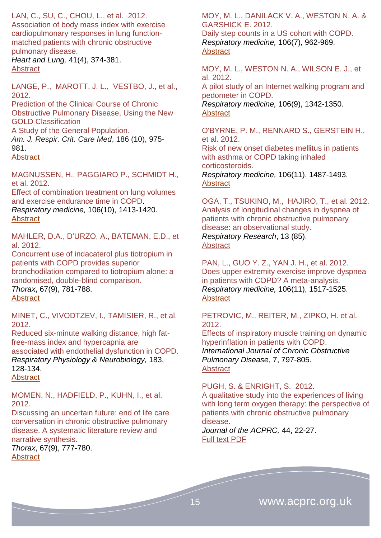### LAN, C., SU, C., CHOU, L., et al. 2012.

Association of body mass index with exercise cardiopulmonary responses in lung functionmatched patients with chronic obstructive pulmonary disease.

*Heart and Lung,* 41(4), 374-381. [Abstract](http://www.heartandlung.org/article/S0147-9563(12)00071-4/abstract)

LANGE, P., MAROTT, J, L., VESTBO, J., et al., 2012.

Prediction of the Clinical Course of Chronic Obstructive Pulmonary Disease, Using the New GOLD Classification

A Study of the General Population. *Am. J. Respir. Crit. Care Med*, 186 (10), 975- 981.

### [Abstract](http://ajrccm.atsjournals.org/content/186/10/975.abstract)

MAGNUSSEN, H., PAGGIARO P., SCHMIDT H., et al. 2012.

Effect of combination treatment on lung volumes and exercise endurance time in COPD.

*Respiratory medicine,* 106(10), 1413-1420. **[Abstract](http://www.resmedjournal.com/article/S0954-6111(12)00195-3/abstract)** 

MAHLER, D.A., D'URZO, A., BATEMAN, E.D., et al. 2012.

Concurrent use of indacaterol plus tiotropium in patients with COPD provides superior bronchodilation compared to tiotropium alone: a randomised, double-blind comparison. *Thorax*, 67(9), 781-788.

**[Abstract](http://thorax.bmj.com/content/67/9/781.abstract)** 

MINET, C., VIVODTZEV, I., TAMISIER, R., et al. 2012.

Reduced six-minute walking distance, high fatfree-mass index and hypercapnia are associated with endothelial dysfunction in COPD. *Respiratory Physiology & Neurobiology,* 183, 128-134. **[Abstract](http://www.ncbi.nlm.nih.gov/pubmed/?term=Reduced+six-minute+walking+distance%2C+high+fat-free-mass+index+and+hypercapnia+are++associated+with+endothelial+dysfunction+in+COPD.)** 

MOMEN, N., HADFIELD, P., KUHN, I., et al. 2012.

Discussing an uncertain future: end of life care conversation in chronic obstructive pulmonary disease. A systematic literature review and narrative synthesis.

*Thorax*, 67(9), 777-780. **[Abstract](http://thorax.bmj.com/content/67/9/777.abstract)** 

MOY, M. L., DANILACK V. A., WESTON N. A. & GARSHICK E. 2012.

Daily step counts in a US cohort with COPD. *Respiratory medicine,* 106(7), 962-969. **[Abstract](http://www.resmedjournal.com/article/S0954-6111(12)00126-6/abstract)** 

MOY, M. L., WESTON N. A., WILSON E. J., et al. 2012.

A pilot study of an Internet walking program and pedometer in COPD.

*Respiratory medicine,* 106(9), 1342-1350. [Abstract](http://www.resmedjournal.com/article/S0954-6111(12)00227-2/abstract)

O'BYRNE, P. M., RENNARD S., GERSTEIN H., et al. 2012.

Risk of new onset diabetes mellitus in patients with asthma or COPD taking inhaled corticosteroids. *Respiratory medicine,* 106(11). 1487-1493. [Abstract](http://www.resmedjournal.com/article/S0954-6111(12)00273-9/abstract)

OGA, T., TSUKINO, M., HAJIRO, T., et al. 2012. Analysis of longitudinal changes in dyspnea of patients with chronic obstructive pulmonary disease: an observational study. *Respiratory Research*, 13 (85). [Abstract](http://respiratory-research.com/content/13/1/85)

PAN, L., GUO Y. Z., YAN J. H., et al. 2012. Does upper extremity exercise improve dyspnea in patients with COPD? A meta-analysis. *Respiratory medicine,* 106(11), 1517-1525. **[Abstract](http://www.resmedjournal.com/article/S0954-6111(12)00293-4/abstract)** 

PETROVIC, M., REITER, M., ZIPKO, H. et al. 2012.

[Effects of inspiratory muscle training on dynamic](http://www.dovepress.com/effects-of-inspiratory-muscle-training-on-dynamic-hyperinflation-in-pa-peer-reviewed-article-COPD)  [hyperinflation in patients with COPD.](http://www.dovepress.com/effects-of-inspiratory-muscle-training-on-dynamic-hyperinflation-in-pa-peer-reviewed-article-COPD) *International Journal of Chronic Obstructive Pulmonary Disease*, 7, 797-805. [Abstract](http://www.dovepress.com/effects-of-inspiratory-muscle-training-on-dynamic-hyperinflation-in-pa-peer-reviewed-article-COPD)

#### PUGH, S. & ENRIGHT, S. 2012.

A qualitative study into the experiences of living with long term oxygen therapy: the perspective of patients with chronic obstructive pulmonary disease.

*Journal of the ACPRC,* 44, 22-27. [Full text PDF](http://www.acprc.org.uk/dmdocuments/RBH%20Journal%202012.pdf)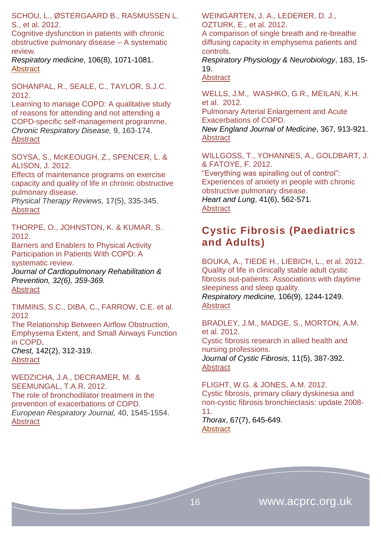SCHOU, L., ØSTERGAARD B., RASMUSSEN L. S., et al. 2012.

Cognitive dysfunction in patients with chronic obstructive pulmonary disease – A systematic review.

*Respiratory medicine,* 106(8), 1071-1081. **[Abstract](http://www.resmedjournal.com/article/S0954-6111(12)00123-0/abstract)** 

SOHANPAL, R., SEALE, C., TAYLOR, S.J.C. 2012.

Learning to manage COPD: A qualitative study of reasons for attending and not attending a COPD-specific self-management programme. *Chronic Respiratory Disease,* 9, 163-174. [Abstract](http://crd.sagepub.com/content/9/3/163.abstract) 

SOYSA, S., McKEOUGH, Z., SPENCER, L. & ALISON, J. 2012.

[Effects of maintenance programs on exercise](http://www.ingentaconnect.com/content/maney/ptr/2012/00000017/00000005/art00008)  [capacity and quality of life in chronic obstructive](http://www.ingentaconnect.com/content/maney/ptr/2012/00000017/00000005/art00008)  [pulmonary disease.](http://www.ingentaconnect.com/content/maney/ptr/2012/00000017/00000005/art00008)

*Physical Therapy Reviews,* 17(5), 335-345. **[Abstract](http://www.ingentaconnect.com/content/maney/ptr/2012/00000017/00000005/art00008)** 

THORPE, O., JOHNSTON, K. & KUMAR, S. 2012.

[Barriers and Enablers to Physical Activity](http://journals.lww.com/jcrjournal/Abstract/2012/11000/Barriers_and_Enablers_to_Physical_Activity.3.aspx)  [Participation in Patients With COPD: A](http://journals.lww.com/jcrjournal/Abstract/2012/11000/Barriers_and_Enablers_to_Physical_Activity.3.aspx)  [systematic review.](http://journals.lww.com/jcrjournal/Abstract/2012/11000/Barriers_and_Enablers_to_Physical_Activity.3.aspx) 

*Journal of Cardiopulmonary Rehabilitation & Prevention, 32(6), 359-369.*  **Abstract** 

TIMMINS, S.C., DIBA, C., FARROW, C.E. et al. 2012

[The Relationship Between Airflow Obstruction,](http://journal.publications.chestnet.org/article.aspx?articleid=1262322)  [Emphysema Extent, and Small Airways Function](http://journal.publications.chestnet.org/article.aspx?articleid=1262322)  [in COPD.](http://journal.publications.chestnet.org/article.aspx?articleid=1262322)

*Chest,* 142(2), 312-319. **[Abstract](http://journal.publications.chestnet.org/article.aspx?articleid=1262322)** 

WEDZICHA, J.A., DECRAMER, M. & SEEMUNGAL, T.A.R. 2012. The role of bronchodilator treatment in the prevention of exacerbations of COPD. *European Respiratory Journal,* 40, 1545-1554. **Abstract** 

WEINGARTEN, J. A., LEDERER, D. J., OZTURK, E., et al. 2012.

A comparison of single breath and re-breathe diffusing capacity in emphysema patients and controls.

*Respiratory Physiology & Neurobiology*, 183, 15- 19.

**[Abstract](http://www.ncbi.nlm.nih.gov/pubmed/?term=A+comparison+of+single+breath+and+re-breathe+diffusing+capacity+in+emphysema+patients+and+controls.)** 

WELLS, J.M., WASHKO, G.R., MEILAN, K.H. et al. 2012. Pulmonary Arterial Enlargement and Acute Exacerbations of COPD. *New England Journal of Medicine*, 367, 913-921. **[Abstract](http://www.nejm.org/doi/full/10.1056/NEJMoa1203830)** 

WILLGOSS, T., YOHANNES, A., GOLDBART, J. & FATOYE, F. 2012. "Everything was spiralling out of control": Experiences of anxiety in people with chronic obstructive pulmonary disease. *Heart and Lung*, 41(6), 562-571. **[Abstract](http://www.heartandlung.org/article/S0147-9563(12)00308-1/abstract)** 

### <span id="page-15-0"></span>**Cystic Fibrosis (Paediatrics and Adults)**

BOUKA, A., TIEDE H., LIEBICH, L., et al. 2012. Quality of life in clinically stable adult cystic fibrosis out-patients: Associations with daytime sleepiness and sleep quality.

*Respiratory medicine,* 106(9), 1244-1249. [Abstract](http://www.resmedjournal.com/article/S0954-6111(12)00224-7/abstract)

BRADLEY, J.M., MADGE, S., MORTON, A.M. et al. 2012.

Cystic fibrosis research in allied health and nursing professions. *[Journal of Cystic Fibrosis,](http://www.sciencedirect.com/science/journal/15691993)* 11(5), 387-392.

[Abstract](http://www.sciencedirect.com/science/article/pii/S1569199312000434)

FLIGHT, W.G. & JONES, A.M. 2012. Cystic fibrosis, primary ciliary dyskinesia and non-cystic fibrosis bronchiectasis: update 2008- 11.

*Thorax*, 67(7), 645-649. **[Abstract](http://thorax.bmj.com/content/67/7/645.abstract)**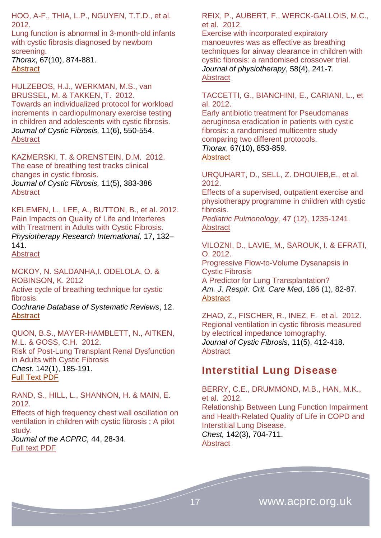HOO, A-F., THIA, L.P., NGUYEN, T.T.D., et al. 2012.

Lung function is abnormal in 3-month-old infants with cystic fibrosis diagnosed by newborn screening.

*Thorax*, 67(10), 874-881. **[Abstract](http://thorax.bmj.com/content/67/10/874.abstract)** 

HULZEBOS, H.J., WERKMAN, M.S., van BRUSSEL, M. & TAKKEN, T. 2012. Towards an individualized protocol for workload increments in cardiopulmonary exercise testing in children and adolescents with cystic fibrosis. *[Journal of Cystic Fibrosis,](http://www.sciencedirect.com/science/journal/15691993)* 11(6), 550-554. [Abstract](http://www.sciencedirect.com/science/article/pii/S1569199312000902)

KAZMERSKI, T. & ORENSTEIN, D.M. 2012. The ease of breathing test tracks clinical changes in cystic fibrosis. *[Journal of Cystic Fibrosis,](http://www.sciencedirect.com/science/journal/15691993)* 11(5), 383-386 [Abstract](http://www.sciencedirect.com/science/article/pii/S1569199312000446)

KELEMEN, L., LEE, A., BUTTON, B., et al. 2012. Pain Impacts on Quality of Life and Interferes with Treatment in Adults with Cystic Fibrosis. *Physiotherapy Research International,* 17, 132– 141.

**[Abstract](http://onlinelibrary.wiley.com/doi/10.1002/pri.524/abstract)** 

MCKOY, N. SALDANHA,I. ODELOLA, O. & ROBINSON, K. 2012

Active cycle of breathing technique for cystic fibrosis.

*Cochrane Database of Systematic Reviews*, 12. **[Abstract](http://onlinelibrary.wiley.com/doi/10.1002/14651858.CD007862.pub3/abstract)** 

QUON, B.S., MAYER-HAMBLETT, N., AITKEN, M.L. & GOSS, C.H. 2012. [Risk of Post-Lung Transplant Renal Dysfunction](http://journal.publications.chestnet.org/article.aspx?articleid=1206622)  [in Adults with Cystic Fibrosis](http://journal.publications.chestnet.org/article.aspx?articleid=1206622) *Chest.* 142(1), 185-191. [Full Text PDF](http://journal.publications.chestnet.org/data/Journals/CHEST/24328/185.pdf)

RAND, S., HILL, L., SHANNON, H. & MAIN, E. 2012.

Effects of high frequency chest wall oscillation on ventilation in children with cystic fibrosis : A pilot study.

*Journal of the ACPRC,* 44, 28-34. [Full text PDF](http://www.acprc.org.uk/dmdocuments/RBH%20Journal%202012.pdf)

REIX, P., AUBERT, F., WERCK-GALLOIS, M.C., et al. 2012.

Exercise with incorporated expiratory manoeuvres was as effective as breathing techniques for airway clearance in children with cystic fibrosis: a randomised crossover trial. *Journal of physiotherapy*, 58(4), 241-7. [Abstract](http://www.ncbi.nlm.nih.gov/pubmed/23177226)

TACCETTI, G., BIANCHINI, E., CARIANI, L., et al. 2012.

Early antibiotic treatment for Pseudomanas aeruginosa eradication in patients with cystic fibrosis: a randomised multicentre study comparing two different protocols.

*Thorax*, 67(10), 853-859. **[Abstract](http://thorax.bmj.com/content/67/10/853.abstract)** 

URQUHART, D., SELL, Z. DHOUIEB,E., et al. 2012.

Effects of a supervised, outpatient exercise and physiotherapy programme in children with cystic fibrosis.

*Pediatric Pulmonology,* 47 (12), 1235-1241. **[Abstract](http://www.ncbi.nlm.nih.gov/pubmed/?term=Effects+of+a+supervised%2C+outpatient+exercise+and+physiotherapy+programme+in+children+with+cystic+fibrosis)** 

VILOZNI, D., LAVIE, M., SAROUK, I. & EFRATI, O. 2012. Progressive Flow-to-Volume Dysanapsis in

Cystic Fibrosis A Predictor for Lung Transplantation? *Am. J. Respir. Crit. Care Med*, 186 (1), 82-87.

**[Abstract](http://ajrccm.atsjournals.org/content/186/1/82.abstract)** 

ZHAO, Z., FISCHER, R., INEZ, F. et al. 2012. Regional ventilation in cystic fibrosis measured by electrical impedance tomography. *[Journal of Cystic Fibrosis,](http://www.sciencedirect.com/science/journal/15691993)* 11(5), 412-418. **[Abstract](http://www.sciencedirect.com/science/article/pii/S1569199312000501)** 

### <span id="page-16-0"></span>**Interstitial Lung Disease**

BERRY, C.E., DRUMMOND, M.B., HAN, M.K., et al. 2012.

[Relationship](http://journal.publications.chestnet.org/article.aspx?articleid=1215979) Between Lung Function Impairment and [Health-Related](http://journal.publications.chestnet.org/article.aspx?articleid=1215979) Quality of Life in COPD and [Interstitial](http://journal.publications.chestnet.org/article.aspx?articleid=1215979) Lung Disease. *Chest,* 142(3), 704-711. **[Abstract](http://journal.publications.chestnet.org/article.aspx?articleid=1215979&atab=10)**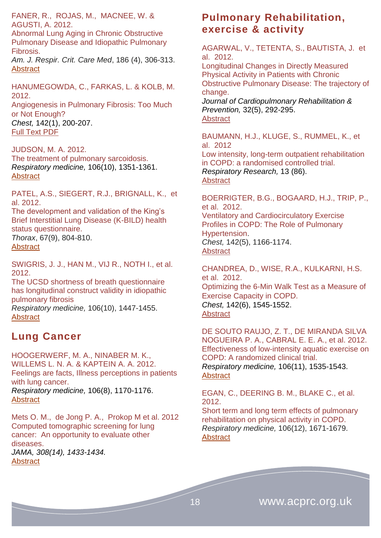FANER, R., ROJAS, M., MACNEE, W. & AGUSTI, A. 2012.

Abnormal Lung Aging in Chronic Obstructive Pulmonary Disease and Idiopathic Pulmonary Fibrosis.

*Am. J. Respir. Crit. Care Med*, 186 (4), 306-313. **[Abstract](http://ajrccm.atsjournals.org/content/186/4/306.abstract)** 

HANUMEGOWDA, C., FARKAS, L. & KOLB, M. 2012.

[Angiogenesis](http://journal.publications.chestnet.org/article.aspx?articleid=1206624) in Pulmonary Fibrosis: Too Much or Not [Enough?](http://journal.publications.chestnet.org/article.aspx?articleid=1206624) *Chest,* 142(1), 200-207. [Full Text PDF](http://journal.publications.chestnet.org/data/Journals/CHEST/24328/200.pdf)

#### JUDSON, M. A. 2012.

The treatment of pulmonary sarcoidosis. *Respiratory medicine,* 106(10), 1351-1361. **[Abstract](http://www.resmedjournal.com/article/S0954-6111(12)00067-4/abstract)** 

PATEL, A.S., SIEGERT, R.J., BRIGNALL, K., et al. 2012.

The development and validation of the King's Brief Interstitial Lung Disease (K-BILD) health status questionnaire. *Thorax*, 67(9), 804-810.

**[Abstract](http://thorax.bmj.com/content/67/9/804.abstract)** 

SWIGRIS, J. J., HAN M., VIJ R., NOTH I., et al. 2012.

The UCSD shortness of breath questionnaire has longitudinal construct validity in idiopathic pulmonary fibrosis

*Respiratory medicine,* 106(10), 1447-1455. **[Abstract](http://www.resmedjournal.com/article/S0954-6111(12)00232-6/abstract)** 

### <span id="page-17-0"></span>**Lung Cancer**

HOOGERWERF, M. A., NINABER M. K., WILLEMS L. N. A. & KAPTEIN A. A. 2012. Feelings are facts, Illness perceptions in patients with lung cancer. *Respiratory medicine,* 106(8), 1170-1176.

[Abstract](http://www.resmedjournal.com/article/S0954-6111(12)00158-8/abstract)

Mets O. M., de Jong P. A., Prokop M et al. 2012 Computed tomographic screening for lung cancer: An opportunity to evaluate other diseases. *JAMA, 308(14), 1433-1434.*

#### **[Abstract](http://www.ncbi.nlm.nih.gov/pubmed/?term=computed+tomographic+screeening+for+lung+cancer+an+opportunity+to+evaluatre+other+disease)**

### <span id="page-17-1"></span>**Pulmonary Rehabilitation, exercise & activity**

AGARWAL, V., TETENTA, S., BAUTISTA, J. et al. 2012.

Longitudinal Changes in Directly Measured Physical Activity in Patients with Chronic Obstructive Pulmonary Disease: The trajectory of change.

*Journal of Cardiopulmonary Rehabilitation & Prevention,* 32(5), 292-295. **[Abstract](http://journals.lww.com/jcrjournal/Abstract/2012/09000/Longitudinal_Changes_in_Directly_Measured_Physical.9.aspx)** 

BAUMANN, H.J., KLUGE, S., RUMMEL, K., et al. 2012

Low intensity, long-term outpatient rehabilitation in COPD: a randomised controlled trial. *Respiratory Research,* 13 (86). **[Abstract](http://respiratory-research.com/content/13/1/86)** 

BOERRIGTER, B.G., BOGAARD, H.J., TRIP, P., et al. 2012. [Ventilatory and Cardiocirculatory Exercise](http://journal.publications.chestnet.org/article.aspx?articleid=1216039)  [Profiles in COPD: The Role of Pulmonary](http://journal.publications.chestnet.org/article.aspx?articleid=1216039)  [Hypertension.](http://journal.publications.chestnet.org/article.aspx?articleid=1216039) *Chest,* 142(5), 1166-1174. **[Abstract](http://journal.publications.chestnet.org/article.aspx?articleid=1216039)** 

CHANDREA, D., WISE, R.A., KULKARNI, H.S. et al. 2012. [Optimizing](http://journal.publications.chestnet.org/article.aspx?articleid=1216033) the 6-Min Walk Test as a Measure of Exercise [Capacity](http://journal.publications.chestnet.org/article.aspx?articleid=1216033) in COPD. *Chest,* 142(6), 1545-1552. **[Abstract](http://journal.publications.chestnet.org/article.aspx?articleid=1216033)** 

DE SOUTO RAUJO, Z. T., DE MIRANDA SILVA NOGUEIRA P. A., CABRAL E. E. A., et al. 2012. Effectiveness of low-intensity aquatic exercise on COPD: A randomized clinical trial. *Respiratory medicine,* 106(11), 1535-1543. **[Abstract](http://www.resmedjournal.com/article/S0954-6111(12)00236-3/abstract)** 

#### EGAN, C., DEERING B. M., BLAKE C., et al. 2012.

Short term and long term effects of pulmonary rehabilitation on physical activity in COPD. *Respiratory medicine,* 106(12), 1671-1679. **[Abstract](http://www.resmedjournal.com/article/S0954-6111(12)00312-5/abstract)**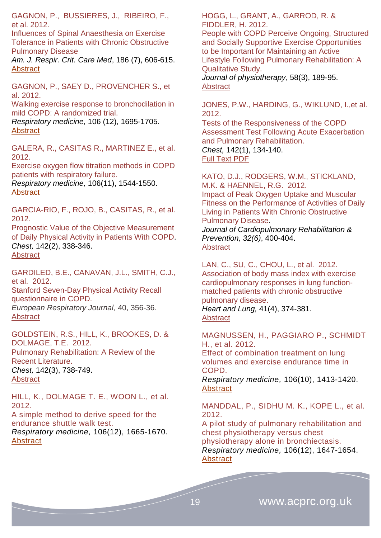GAGNON, P., BUSSIERES, J., RIBEIRO, F., et al. 2012.

Influences of Spinal Anaesthesia on Exercise Tolerance in Patients with Chronic Obstructive Pulmonary Disease

*Am. J. Respir. Crit. Care Med*, 186 (7), 606-615. **[Abstract](http://ajrccm.atsjournals.org/content/186/7/606.abstract)** 

GAGNON, P., SAEY D., PROVENCHER S., et al. 2012.

Walking exercise response to bronchodilation in mild COPD: A randomized trial.

*Respiratory medicine,* 106 (12), 1695-1705. **[Abstract](http://www.resmedjournal.com/article/S0954-6111(12)00317-4/abstract)** 

GALERA, R., CASITAS R., MARTINEZ E., et al. 2012.

Exercise oxygen flow titration methods in COPD patients with respiratory failure.

*Respiratory medicine,* 106(11), 1544-1550. **[Abstract](http://www.resmedjournal.com/article/S0954-6111(12)00235-1/abstract)** 

GARCIA-RIO, F., ROJO, B., CASITAS, R., et al. 2012.

Prognostic Value of the Objective [Measurement](http://journal.publications.chestnet.org/article.aspx?articleid=1262325) of Daily [Physical](http://journal.publications.chestnet.org/article.aspx?articleid=1262325) Activity in Patients With COPD. *Chest,* 142(2), 338-346. **[Abstract](http://journal.publications.chestnet.org/article.aspx?articleid=1262325)** 

GARDILED, B.E., CANAVAN, J.L., SMITH, C.J., et al. 2012. Stanford Seven-Day Physical Activity Recall questionnaire in COPD. *European Respiratory Journal,* 40, 356-36. [Abstract](http://erj.ersjournals.com/content/40/2/356.abstract)

GOLDSTEIN, R.S., HILL, K., BROOKES, D. & DOLMAGE, T.E. 2012. Pulmonary [Rehabilitation:](http://journal.publications.chestnet.org/article.aspx?articleid=1356639) A Review of the Recent [Literature.](http://journal.publications.chestnet.org/article.aspx?articleid=1356639) *Chest,* 142(3), 738-749. **[Abstract](http://journal.publications.chestnet.org/article.aspx?articleid=1356639)** 

HILL, K., DOLMAGE T. E., WOON L., et al. 2012. A simple method to derive speed for the

endurance shuttle walk test. *Respiratory medicine,* 106(12), 1665-1670. [Abstract](http://www.resmedjournal.com/article/S0954-6111(12)00305-8/abstract)

HOGG, L., GRANT, A., GARROD, R. & FIDDLER, H. 2012.

People with COPD Perceive Ongoing, Structured and Socially Supportive Exercise Opportunities to be Important for Maintaining an Active Lifestyle Following Pulmonary Rehabilitation: A Qualitative Study.

*Journal of physiotherapy*, 58(3), 189-95. **[Abstract](http://www.ncbi.nlm.nih.gov/pubmed/22884186)** 

JONES, P.W., HARDING, G., WIKLUND, I.,et al. 2012.

Tests of the [Responsiveness](http://journal.publications.chestnet.org/article.aspx?articleid=1206616) of the COPD Assessment Test Following Acute [Exacerbation](http://journal.publications.chestnet.org/article.aspx?articleid=1206616) and Pulmonary [Rehabilitation.](http://journal.publications.chestnet.org/article.aspx?articleid=1206616)

*Chest,* 142(1), 134-140. [Full Text PDF](http://journal.publications.chestnet.org/data/Journals/CHEST/24328/134.pdf)

KATO, D.J., RODGERS, W.M., STICKLAND, M.K. & HAENNEL, R.G. 2012. [Impact of Peak Oxygen Uptake and Muscular](http://journals.lww.com/jcrjournal/Abstract/2012/11000/Impact_of_Peak_Oxygen_Uptake_and_Muscular_Fitness.8.aspx) 

[Fitness on the Performance of Activities of Daily](http://journals.lww.com/jcrjournal/Abstract/2012/11000/Impact_of_Peak_Oxygen_Uptake_and_Muscular_Fitness.8.aspx)  [Living in Patients With Chronic Obstructive](http://journals.lww.com/jcrjournal/Abstract/2012/11000/Impact_of_Peak_Oxygen_Uptake_and_Muscular_Fitness.8.aspx)  [Pulmonary Disease.](http://journals.lww.com/jcrjournal/Abstract/2012/11000/Impact_of_Peak_Oxygen_Uptake_and_Muscular_Fitness.8.aspx)

*Journal of Cardiopulmonary Rehabilitation & Prevention, 32(6)*, 400-404. **Abstract** 

LAN, C., SU, C., CHOU, L., et al. 2012.

Association of body mass index with exercise cardiopulmonary responses in lung functionmatched patients with chronic obstructive pulmonary disease. *Heart and Lung,* 41(4), 374-381. [Abstract](http://www.heartandlung.org/article/S0147-9563(12)00071-4/abstract)

MAGNUSSEN, H., PAGGIARO P., SCHMIDT H., et al. 2012.

Effect of combination treatment on lung volumes and exercise endurance time in COPD.

*Respiratory medicine,* 106(10), 1413-1420. **[Abstract](http://www.resmedjournal.com/article/S0954-6111(12)00195-3/abstract)** 

MANDDAL, P., SIDHU M. K., KOPE L., et al. 2012.

A pilot study of pulmonary rehabilitation and chest physiotherapy versus chest physiotherapy alone in bronchiectasis. *Respiratory medicine,* 106(12), 1647-1654. **[Abstract](http://www.resmedjournal.com/article/S0954-6111(12)00295-8/abstract)**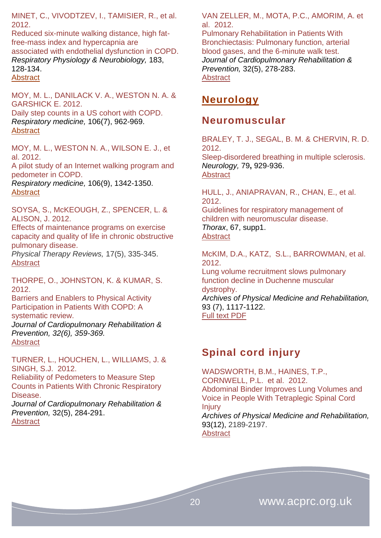MINET, C., VIVODTZEV, I., TAMISIER, R., et al. 2012.

Reduced six-minute walking distance, high fatfree-mass index and hypercapnia are associated with endothelial dysfunction in COPD. *Respiratory Physiology & Neurobiology,* 183, 128-134. **[Abstract](http://www.ncbi.nlm.nih.gov/pubmed/?term=Reduced+six-minute+walking+distance%2C+high+fat-free-mass+index+and+hypercapnia+are++associated+with+endothelial+dysfunction+in+COPD.)** 

MOY, M. L., DANILACK V. A., WESTON N. A. & GARSHICK E. 2012.

Daily step counts in a US cohort with COPD. *Respiratory medicine,* 106(7), 962-969. **[Abstract](http://www.resmedjournal.com/article/S0954-6111(12)00126-6/abstract)** 

MOY, M. L., WESTON N. A., WILSON E. J., et al. 2012.

A pilot study of an Internet walking program and pedometer in COPD.

*Respiratory medicine,* 106(9), 1342-1350. **[Abstract](http://www.resmedjournal.com/article/S0954-6111(12)00227-2/abstract)** 

SOYSA, S., McKEOUGH, Z., SPENCER, L. & ALISON, J. 2012.

[Effects of maintenance programs on exercise](http://www.ingentaconnect.com/content/maney/ptr/2012/00000017/00000005/art00008)  [capacity and quality of life in chronic obstructive](http://www.ingentaconnect.com/content/maney/ptr/2012/00000017/00000005/art00008)  [pulmonary disease.](http://www.ingentaconnect.com/content/maney/ptr/2012/00000017/00000005/art00008)

*Physical Therapy Reviews,* 17(5), 335-345. **[Abstract](http://www.ingentaconnect.com/content/maney/ptr/2012/00000017/00000005/art00008)** 

THORPE, O., JOHNSTON, K. & KUMAR, S. 2012.

[Barriers and Enablers to Physical Activity](http://journals.lww.com/jcrjournal/Abstract/2012/11000/Barriers_and_Enablers_to_Physical_Activity.3.aspx)  [Participation in Patients With COPD: A](http://journals.lww.com/jcrjournal/Abstract/2012/11000/Barriers_and_Enablers_to_Physical_Activity.3.aspx)  [systematic review.](http://journals.lww.com/jcrjournal/Abstract/2012/11000/Barriers_and_Enablers_to_Physical_Activity.3.aspx) 

*Journal of Cardiopulmonary Rehabilitation & Prevention, 32(6), 359-369.*  **Abstract** 

TURNER, L., HOUCHEN, L., WILLIAMS, J. & SINGH, S.J. 2012.

Reliability of Pedometers to Measure Step Counts in Patients With Chronic Respiratory Disease.

*Journal of Cardiopulmonary Rehabilitation & Prevention,* 32(5), 284-291. **Abstract** 

VAN ZELLER, M., MOTA, P.C., AMORIM, A. et al. 2012.

Pulmonary Rehabilitation in Patients With Bronchiectasis: Pulmonary function, arterial blood gases, and the 6-minute walk test. *Journal of Cardiopulmonary Rehabilitation & Prevention,* 32(5), 278-283. [Abstract](http://journals.lww.com/jcrjournal/Abstract/2012/09000/Pulmonary_Rehabilitation_in_Patients_With.7.aspx) 

### <span id="page-19-0"></span>**Neurology**

### <span id="page-19-1"></span>**Neuromuscular**

BRALEY, T. J., SEGAL, B. M. & CHERVIN, R. D. 2012.

Sleep-disordered breathing in multiple sclerosis. *Neurology,* 79**,** 929-936. [Abstract](http://www.ncbi.nlm.nih.gov/pubmed/22895593)

HULL, J., ANIAPRAVAN, R., CHAN, E., et al. 2012.

Guidelines for respiratory management of children with neuromuscular disease. *Thorax*, 67, supp1. **[Abstract](http://thorax.bmj.com/content/67/Suppl_1/i1.extract)** 

McKIM, D.A., KATZ, S.L., BARROWMAN, et al. 2012.

Lung volume recruitment slows pulmonary function decline in Duchenne muscular dystrophy. *Archives of Physical Medicine and Rehabilitation,* 93 (7), 1117-1122.

[Full text](http://download.journals.elsevierhealth.com/pdfs/journals/0003-9993/PIIS0003999312001621.pdf) PDF

# <span id="page-19-2"></span>**Spinal cord injury**

<span id="page-19-3"></span>WADSWORTH, B.M., HAINES, T.P., CORNWELL, P.L. et al. 2012. Abdominal Binder Improves Lung Volumes and Voice in People With Tetraplegic Spinal Cord **Injury** *Archives of Physical Medicine and Rehabilitation,* 93(12), 2189-2197. **[Abstract](http://www.archives-pmr.org/article/S0003-9993(12)00433-9/abstract)**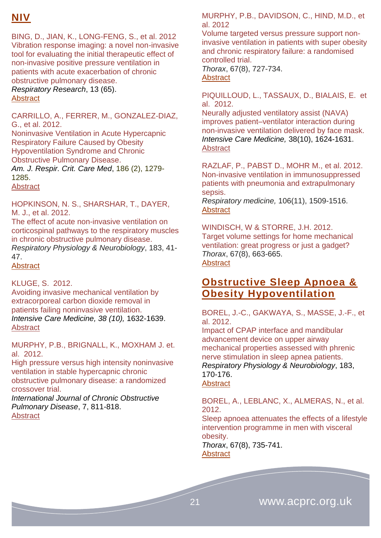# **NIV**

BING, D., JIAN, K., LONG-FENG, S., et al. 2012 Vibration response imaging: a novel non-invasive tool for evaluating the initial therapeutic effect of non-invasive positive pressure ventilation in patients with acute exacerbation of chronic obstructive pulmonary disease.

*Respiratory Research*, 13 (65). **[Abstract](http://respiratory-research.com/content/13/1/65)** 

CARRILLO, A., FERRER, M., GONZALEZ-DIAZ, G., et al. 2012.

Noninvasive Ventilation in Acute Hypercapnic Respiratory Failure Caused by Obesity Hypoventilation Syndrome and Chronic Obstructive Pulmonary Disease.

*Am. J. Respir. Crit. Care Med*, 186 (2), 1279- 1285.

**[Abstract](http://ajrccm.atsjournals.org/content/186/12/1279.abstract)** 

HOPKINSON, N. S., SHARSHAR, T., DAYER, M. J., et al. 2012.

The effect of acute non-invasive ventilation on corticospinal pathways to the respiratory muscles in chronic obstructive pulmonary disease. *Respiratory Physiology & Neurobiology*, 183, 41- 47. [Abstract](http://www.ncbi.nlm.nih.gov/pubmed/?term=The+effect+of+acute+non-invasive+ventilation+on+corticospinal+pathways+to+the+respiratory+muscles+in+chronic+obstructive+pulmonary+disease.)

KLUGE, S. 2012.

Avoiding invasive mechanical ventilation by extracorporeal carbon dioxide removal in patients failing noninvasive ventilation. *[Intensive Care Medicine,](http://link.springer.com/journal/134) 38 (10),* 1632-1639. [Abstract](http://link.springer.com/article/10.1007/s00134-012-2649-2)

MURPHY, P.B., BRIGNALL, K., MOXHAM J. et. al. 2012.

[High pressure versus high intensity noninvasive](http://www.dovepress.com/high-pressure-versus-high-intensity-noninvasive-ventilation-in-stable--peer-reviewed-article-COPD)  [ventilation in stable hypercapnic chronic](http://www.dovepress.com/high-pressure-versus-high-intensity-noninvasive-ventilation-in-stable--peer-reviewed-article-COPD)  [obstructive pulmonary disease: a randomized](http://www.dovepress.com/high-pressure-versus-high-intensity-noninvasive-ventilation-in-stable--peer-reviewed-article-COPD)  [crossover trial.](http://www.dovepress.com/high-pressure-versus-high-intensity-noninvasive-ventilation-in-stable--peer-reviewed-article-COPD)

*International Journal of Chronic Obstructive Pulmonary Disease*, 7, 811-818. **[Abstract](http://www.dovepress.com/high-pressure-versus-high-intensity-noninvasive-ventilation-in-stable--peer-reviewed-article-COPD)** 

MURPHY, P.B., DAVIDSON, C., HIND, M.D., et al. 2012

Volume targeted versus pressure support noninvasive ventilation in patients with super obesity and chronic respiratory failure: a randomised controlled trial.

*Thorax*, 67(8), 727-734. **[Abstract](http://thorax.bmj.com/content/67/8/727.abstract)** 

PIQUILLOUD, L., TASSAUX, D., BIALAIS, E. et al. 2012.

Neurally adjusted ventilatory assist (NAVA) improves patient–ventilator interaction during non-invasive ventilation delivered by face mask. *Intensive Care Medicine,* 38(10), 1624-1631. **[Abstract](http://link.springer.com/article/10.1007/s00134-012-2626-9)** 

RAZLAF, P., PABST D., MOHR M., et al. 2012. Non-invasive ventilation in immunosuppressed patients with pneumonia and extrapulmonary sepsis.

*Respiratory medicine,* 106(11), 1509-1516. **[Abstract](http://www.resmedjournal.com/article/S0954-6111(12)00301-0/abstract)** 

WINDISCH, W & STORRE, J.H. 2012. Target volume settings for home mechanical ventilation: great progress or just a gadget? *Thorax*, 67(8), 663-665. **[Abstract](http://thorax.bmj.com/content/67/8/663.extract)** 

### <span id="page-20-0"></span>**Obstructive Sleep Apnoea & Obesity Hypoventilation**

BOREL, J.-C., GAKWAYA, S., MASSE, J.-F., et al. 2012.

Impact of CPAP interface and mandibular advancement device on upper airway mechanical properties assessed with phrenic nerve stimulation in sleep apnea patients. *Respiratory Physiology & Neurobiology*, 183, 170-176.

**[Abstract](http://www.ncbi.nlm.nih.gov/pubmed/?term=Impact+of+CPAP+interface+and+mandibular+advancement+device+on+upper+airway+mechanical+properties+assessed+with+phrenic+nerve+stimulation+in+sleep+apnea+patients.)** 

BOREL, A., LEBLANC, X., ALMERAS, N., et al. 2012.

Sleep apnoea attenuates the effects of a lifestyle intervention programme in men with visceral obesity.

*Thorax*, 67(8), 735-741. **[Abstract](http://thorax.bmj.com/content/67/8/735.abstract)** 

21 www.acprc.org.uk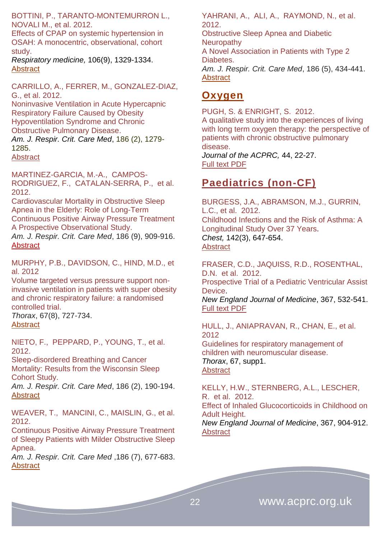BOTTINI, P., TARANTO-MONTEMURRON L., NOVALI M., et al. 2012.

Effects of CPAP on systemic hypertension in OSAH: A monocentric, observational, cohort study.

*Respiratory medicine,* 106(9), 1329-1334. **[Abstract](http://www.resmedjournal.com/article/S0954-6111(12)00190-4/abstract)** 

CARRILLO, A., FERRER, M., GONZALEZ-DIAZ, G., et al. 2012.

Noninvasive Ventilation in Acute Hypercapnic Respiratory Failure Caused by Obesity Hypoventilation Syndrome and Chronic Obstructive Pulmonary Disease. *Am. J. Respir. Crit. Care Med*, 186 (2), 1279-

1285.

[Abstract](http://ajrccm.atsjournals.org/content/186/12/1279.abstract)

MARTINEZ-GARCIA, M.-A., CAMPOS-RODRIGUEZ, F., CATALAN-SERRA, P., et al. 2012.

Cardiovascular Mortality in Obstructive Sleep Apnea in the Elderly: Role of Long-Term Continuous Positive Airway Pressure Treatment A Prospective Observational Study.

*Am. J. Respir. Crit. Care Med*, 186 (9), 909-916. **[Abstract](http://ajrccm.atsjournals.org/content/186/9/909.abstract)** 

MURPHY, P.B., DAVIDSON, C., HIND, M.D., et al. 2012

Volume targeted versus pressure support noninvasive ventilation in patients with super obesity and chronic respiratory failure: a randomised controlled trial.

*Thorax*, 67(8), 727-734. [Abstract](http://thorax.bmj.com/content/67/8/727.abstract)

NIETO, F., PEPPARD, P., YOUNG, T., et al. 2012.

Sleep-disordered Breathing and Cancer Mortality: Results from the Wisconsin Sleep Cohort Study.

*Am. J. Respir. Crit. Care Med*, 186 (2), 190-194. **[Abstract](http://ajrccm.atsjournals.org/content/186/2/190.abstract)** 

WEAVER, T., MANCINI, C., MAISLIN, G., et al. 2012.

Continuous Positive Airway Pressure Treatment of Sleepy Patients with Milder Obstructive Sleep Apnea.

*Am. J. Respir. Crit. Care Med* ,186 (7), 677-683. **[Abstract](http://ajrccm.atsjournals.org/content/186/7/677.abstract)** 

YAHRANI, A., ALI, A., RAYMOND, N., et al. 2012.

Obstructive Sleep Apnea and Diabetic **Neuropathy** A Novel Association in Patients with Type 2 Diabetes. *Am. J. Respir. Crit. Care Med*, 186 (5), 434-441. [Abstract](http://ajrccm.atsjournals.org/content/186/5/434.abstract)

### <span id="page-21-0"></span>**Oxygen**

PUGH, S. & ENRIGHT, S. 2012. A qualitative study into the experiences of living with long term oxygen therapy: the perspective of patients with chronic obstructive pulmonary disease.

*Journal of the ACPRC,* 44, 22-27. [Full text PDF](http://www.acprc.org.uk/dmdocuments/RBH%20Journal%202012.pdf)

# <span id="page-21-1"></span>**Paediatrics (non-CF)**

BURGESS, J.A., ABRAMSON, M.J., GURRIN, L.C., et al. 2012. [Childhood](http://journal.publications.chestnet.org/article.aspx?articleid=1215981) Infections and the Risk of Asthma: A [Longitudinal](http://journal.publications.chestnet.org/article.aspx?articleid=1215981) Study Over 37 Years. *Chest,* 142(3), 647-654. **[Abstract](http://journal.publications.chestnet.org/article.aspx?articleid=1215981)** 

FRASER, C.D., JAQUISS, R.D., ROSENTHAL, D.N. et al. 2012. Prospective Trial of a Pediatric Ventricular Assist Device. *New England Journal of Medicine*, 367, 532-541. [Full text PDF](http://www.nejm.org/doi/pdf/10.1056/NEJMoa1014164)

HULL, J., ANIAPRAVAN, R., CHAN, E., et al. 2012 Guidelines for respiratory management of children with neuromuscular disease. *Thorax*, 67, supp1. **[Abstract](http://thorax.bmj.com/content/67/Suppl_1/i1.extract)** 

KELLY, H.W., STERNBERG, A.L., LESCHER, R. et al. 2012. Effect of Inhaled Glucocorticoids in Childhood on Adult Height. *New England Journal of Medicine*, 367, 904-912. **[Abstract](http://www.nejm.org/doi/full/10.1056/NEJMoa1203229)** 

22 www.acprc.org.uk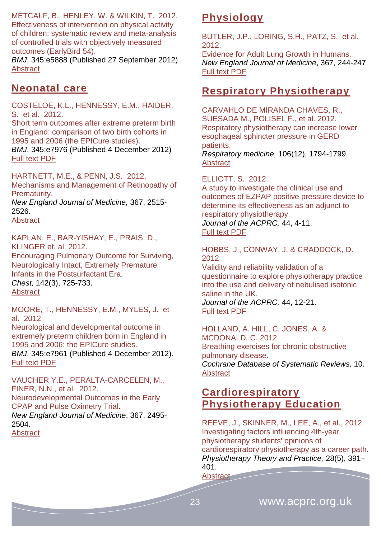METCALF, B., HENLEY, W. & WILKIN, T. 2012. Effectiveness of intervention on physical activity of children: systematic review and meta-analysis of controlled trials with objectively measured outcomes (EarlyBird 54).

*BMJ*, 345:e5888 (Published 27 September 2012) [Abstract](http://www.bmj.com/content/345/bmj.e5888.pdf%2Bhtml)

### <span id="page-22-0"></span>**Neonatal care**

COSTELOE, K.L., HENNESSY, E.M., HAIDER, S. et al. 2012.

Short term outcomes after extreme preterm birth in England: comparison of two birth cohorts in 1995 and 2006 (the EPICure studies).

*BMJ*, 345:e7976 (Published 4 December 2012) [Full text PDF](http://www.bmj.com/content/345/bmj.e7976.pdf%2Bhtml)

HARTNETT, M.E., & PENN, J.S. 2012. Mechanisms and Management of Retinopathy of Prematurity.

*New England Journal of Medicine,* 367, 2515- 2526.

**[Abstract](http://www.nejm.org/doi/full/10.1056/NEJMra1208129)** 

KAPLAN, E., BAR-YISHAY, E., PRAIS, D., KLINGER et. al. 2012. [Encouraging](http://journal.publications.chestnet.org/article.aspx?articleid=1215985) Pulmonary Outcome for Surviving, [Neurologically](http://journal.publications.chestnet.org/article.aspx?articleid=1215985) Intact, Extremely Premature Infants in the [Postsurfactant](http://journal.publications.chestnet.org/article.aspx?articleid=1215985) Era. *Chest,* 142(3), 725-733. **[Abstract](http://journal.publications.chestnet.org/article.aspx?articleid=1215985)** 

MOORE, T., HENNESSY, E.M., MYLES, J. et al. 2012.

Neurological and developmental outcome in extremely preterm children born in England in 1995 and 2006: the EPICure studies. *BMJ*, 345:e7961 (Published 4 December 2012). [Full text PDF](http://www.bmj.com/content/345/bmj.e7961.pdf%2Bhtml)

VAUCHER Y.E., PERALTA-CARCELEN, M., FINER, N.N., et al. 2012. Neurodevelopmental Outcomes in the Early CPAP and Pulse Oximetry Trial. *New England Journal of Medicine*, 367, 2495- 2504.

<span id="page-22-1"></span>**Abstract** 

# **Physiology**

BUTLER, J.P., LORING, S.H., PATZ, S. et al. 2012.

Evidence for Adult Lung Growth in Humans. *New England Journal of Medicine*, 367, 244-247. [Full text PDF](http://www.nejm.org/doi/pdf/10.1056/NEJMoa1203983)

### <span id="page-22-2"></span>**Respiratory Physiotherapy**

CARVAHLO DE MIRANDA CHAVES, R., SUESADA M., POLISEL F., et al. 2012. Respiratory physiotherapy can increase lower esophageal sphincter pressure in GERD patients.

*Respiratory medicine,* 106(12), 1794-1799. [Abstract](http://www.resmedjournal.com/article/S0954-6111(12)00319-8/abstract)

ELLIOTT, S. 2012.

A study to investigate the clinical use and outcomes of EZPAP positive pressure device to determine its effectiveness as an adjunct to respiratory physiotherapy.

*Journal of the ACPRC,* 44, 4-11. [Full text PDF](http://www.acprc.org.uk/dmdocuments/RBH%20Journal%202012.pdf)

HOBBS, J., CONWAY, J. & CRADDOCK, D. 2012

Validity and reliability validation of a questionnaire to explore physiotherapy practice into the use and delivery of nebulised isotonic saline in the UK. *Journal of the ACPRC,* 44, 12-21. [Full text PDF](http://www.acprc.org.uk/dmdocuments/RBH%20Journal%202012.pdf)

HOLLAND, A. HILL, C. JONES, A. & MCDONALD, C. 2012 Breathing exercises for chronic obstructive pulmonary disease. *Cochrane Database of Systematic Reviews,* 10. **[Abstract](http://onlinelibrary.wiley.com/doi/10.1002/14651858.CD008250.pub2/abstract)** 

### <span id="page-22-3"></span>**Cardiorespiratory Physiotherapy Education**

REEVE, J., SKINNER, M., LEE, A., et al., 2012. Investigating factors influencing 4th-year physiotherapy students' opinions of cardiorespiratory physiotherapy as a career path. *Physiotherapy Theory and Practice,* 28(5), 391– 401.

<span id="page-22-4"></span>[Abstract](http://informahealthcare.com/doi/abs/10.3109/09593985.2011.619249)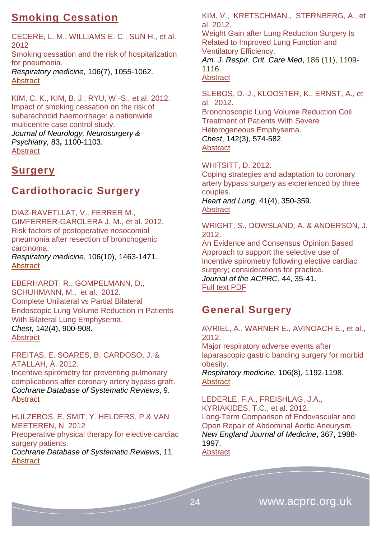# **Smoking Cessation**

CECERE, L. M., WILLIAMS E. C., SUN H., et al. 2012 Smoking cessation and the risk of hospitalization for pneumonia. *Respiratory medicine,* 106(7), 1055-1062. [Abstract](http://www.resmedjournal.com/article/S0954-6111(12)00128-X/abstract)

KIM, C. K., KIM, B. J., RYU, W.-S., et al. 2012. Impact of smoking cessation on the risk of subarachnoid haemorrhage: a nationwide multicentre case control study. *Journal of Neurology, Neurosurgery & Psychiatry,* 83**,** 1100-1103. **[Abstract](http://www.ncbi.nlm.nih.gov/pubmed/?term=Impact+of+smoking+cessation+on+the+risk+of+subarachnoid+haemorrhage%3A+a+nationwide+multicentre+case+control+study.)** 

### <span id="page-23-0"></span>**Surgery**

# <span id="page-23-1"></span>**Cardiothoracic Surgery**

DIAZ-RAVETLLAT, V., FERRER M., GIMFERRER-GAROLERA J. M., et al. 2012. Risk factors of postoperative nosocomial pneumonia after resection of bronchogenic carcinoma.

*Respiratory medicine*, 106(10), 1463-1471. **[Abstract](http://www.resmedjournal.com/article/S0954-6111(12)00270-3/abstract)** 

EBERHARDT, R., GOMPELMANN, D., SCHUHMANN, M., et al. 2012. [Complete](http://journal.publications.chestnet.org/article.aspx?articleid=1216046) Unilateral vs Partial Bilateral [Endoscopic](http://journal.publications.chestnet.org/article.aspx?articleid=1216046) Lung Volume Reduction in Patients With Bilateral Lung [Emphysema.](http://journal.publications.chestnet.org/article.aspx?articleid=1216046) *Chest,* 142(4), 900-908. **[Abstract](http://journal.publications.chestnet.org/article.aspx?articleid=1216046)** 

FREITAS, E. SOARES, B. CARDOSO, J. & ATALLAH, Á. 2012.

Incentive spirometry for preventing pulmonary complications after coronary artery bypass graft. *Cochrane Database of Systematic Reviews*, 9. **[Abstract](http://onlinelibrary.wiley.com/doi/10.1002/14651858.CD004466.pub3/abstract)** 

HULZEBOS, E. SMIT, Y. HELDERS, P.& VAN MEETEREN, N. 2012

Preoperative physical therapy for elective cardiac surgery patients.

*Cochrane Database of Systematic Reviews*, 11. **[Abstract](http://onlinelibrary.wiley.com/doi/10.1002/14651858.CD010118.pub2/abstract)** 

KIM, V., KRETSCHMAN., STERNBERG, A., et al. 2012.

Weight Gain after Lung Reduction Surgery Is Related to Improved Lung Function and Ventilatory Efficiency.

*Am. J. Respir. Crit. Care Med*, 186 (11), 1109- 1116.

### **[Abstract](http://ajrccm.atsjournals.org/content/186/11/1109.abstract)**

SLEBOS, D.-J., KLOOSTER, K., ERNST, A., et al. 2012.

[Bronchoscopic](http://journal.publications.chestnet.org/article.aspx?articleid=1215973) Lung Volume Reduction Coil [Treatment](http://journal.publications.chestnet.org/article.aspx?articleid=1215973) of Patients With Severe [Heterogeneous](http://journal.publications.chestnet.org/article.aspx?articleid=1215973) Emphysema. *Chest*, 142(3), 574-582. **[Abstract](http://journal.publications.chestnet.org/article.aspx?articleid=1215973)** 

### WHITSITT, D. 2012.

Coping strategies and adaptation to coronary artery bypass surgery as experienced by three couples.

*Heart and Lung*, 41(4), 350-359. [Abstract](http://www.heartandlung.org/article/S0147-9563(12)00086-6/abstract)

WRIGHT, S., DOWSLAND, A. & ANDERSON, J. 2012.

An Evidence and Consensus Opinion Based Approach to support the selective use of incentive spirometry following elective cardiac surgery: considerations for practice. *Journal of the ACPRC,* 44, 35-41. [Full text PDF](http://www.acprc.org.uk/dmdocuments/RBH%20Journal%202012.pdf)

### <span id="page-23-2"></span>**General Surgery**

AVRIEL, A., WARNER E., AVINOACH E., et al., 2012.

Major respiratory adverse events after laparascopic gastric banding surgery for morbid obesity.

*Respiratory medicine,* 106(8), 1192-1198. **[Abstract](http://www.resmedjournal.com/article/S0954-6111(12)00185-0/abstract)** 

LEDERLE, F.A., FREISHLAG, J.A., KYRIAKIDES, T.C., et al. 2012. Long-Term Comparison of Endovascular and Open Repair of Abdominal Aortic Aneurysm. *New England Journal of Medicine*, 367, 1988- 1997.

**[Abstract](http://www.nejm.org/doi/full/10.1056/NEJMoa1207481)**